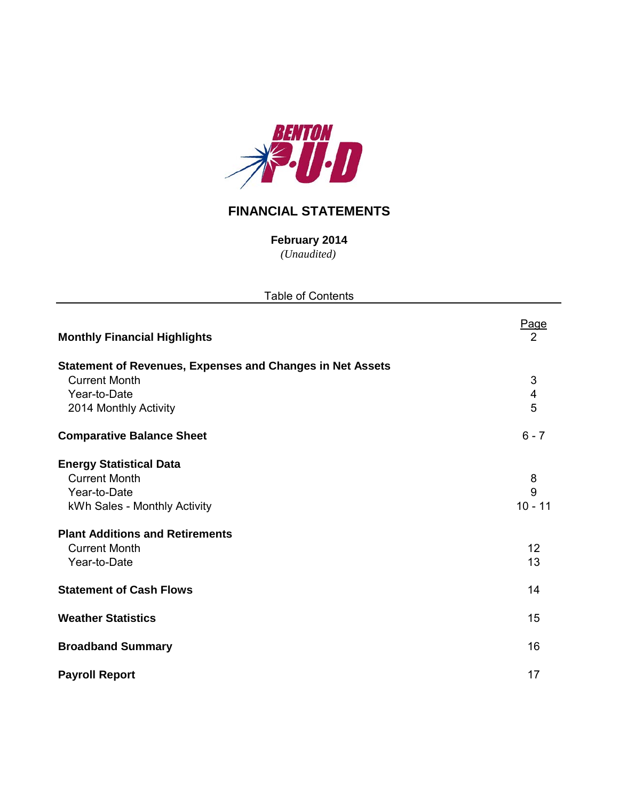

## **FINANCIAL STATEMENTS**

*(Unaudited)* **February 2014**

| <b>Table of Contents</b>                                         |                        |  |  |  |  |  |  |
|------------------------------------------------------------------|------------------------|--|--|--|--|--|--|
| <b>Monthly Financial Highlights</b>                              | Page<br>$\overline{2}$ |  |  |  |  |  |  |
| <b>Statement of Revenues, Expenses and Changes in Net Assets</b> |                        |  |  |  |  |  |  |
| <b>Current Month</b>                                             | $\sqrt{3}$             |  |  |  |  |  |  |
| Year-to-Date                                                     | 4                      |  |  |  |  |  |  |
| 2014 Monthly Activity                                            | 5                      |  |  |  |  |  |  |
| <b>Comparative Balance Sheet</b>                                 | $6 - 7$                |  |  |  |  |  |  |
| <b>Energy Statistical Data</b>                                   |                        |  |  |  |  |  |  |
| <b>Current Month</b>                                             | 8                      |  |  |  |  |  |  |
| Year-to-Date                                                     | 9                      |  |  |  |  |  |  |
| kWh Sales - Monthly Activity                                     | $10 - 11$              |  |  |  |  |  |  |
| <b>Plant Additions and Retirements</b>                           |                        |  |  |  |  |  |  |
| <b>Current Month</b>                                             | 12                     |  |  |  |  |  |  |
| Year-to-Date                                                     | 13                     |  |  |  |  |  |  |
| <b>Statement of Cash Flows</b>                                   | 14                     |  |  |  |  |  |  |
| <b>Weather Statistics</b>                                        | 15                     |  |  |  |  |  |  |
| <b>Broadband Summary</b>                                         | 16                     |  |  |  |  |  |  |
| <b>Payroll Report</b>                                            | 17                     |  |  |  |  |  |  |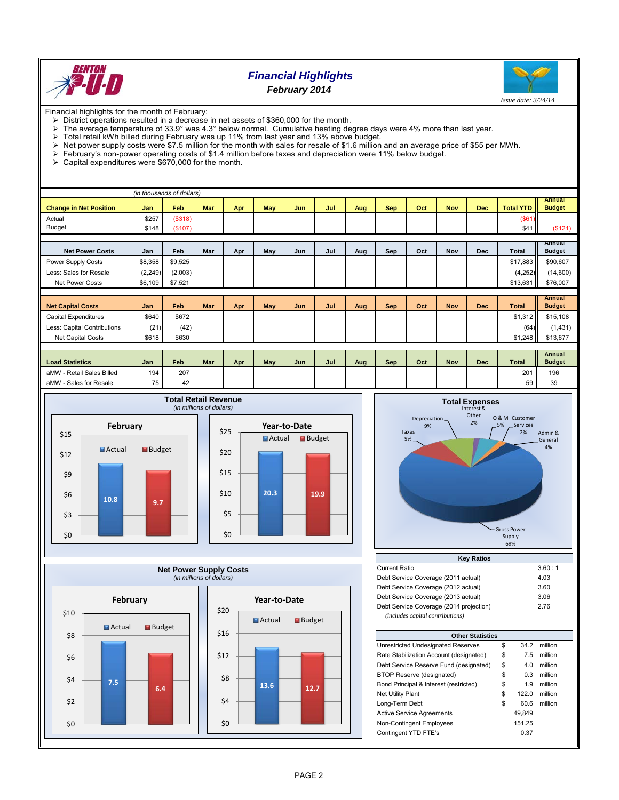

## *Financial Highlights February 2014*



Financial highlights for the month of February:

- District operations resulted in a decrease in net assets of \$360,000 for the month.<br>
> The average temperature of 33.9° was 4.3° below normal. Cumulative heating de
- The average temperature of 33.9° was 4.3° below normal. Cumulative heating degree days were 4% more than last year.<br>
> Total retail kWh billed during February was up 11% from last year and 13% above budget.
- $\triangleright$  Total retail kWh billed during February was up 11% from last year and 13% above budget.<br>  $\triangleright$  Net power supply costs were \$7.5 million for the month with sales for resale of \$1.6 million
- $\triangleright$  Net power supply costs were \$7.5 million for the month with sales for resale of \$1.6 million and an average price of \$55 per MWh.<br> $\triangleright$  February's non-power operating costs of \$1.4 million before taxes and depreci
- $\triangleright$  February's non-power operating costs of \$1.4 million before taxes and depreciation were 11% below budget.<br>  $\triangleright$  Capital expenditures were \$670,000 for the month.
- Capital expenditures were \$670,000 for the month.

| (in thousands of dollars)     |          |            |            |     |     |     |     |     |            |     |            |            |                  |                         |
|-------------------------------|----------|------------|------------|-----|-----|-----|-----|-----|------------|-----|------------|------------|------------------|-------------------------|
|                               | Jan      | Feb        | <b>Mar</b> |     | May | Jun | Jul |     | <b>Sep</b> | Oct | <b>Nov</b> | Dec        | <b>Total YTD</b> | Annual<br><b>Budget</b> |
| <b>Change in Net Position</b> |          |            |            | Apr |     |     |     | Aug |            |     |            |            |                  |                         |
| Actual                        | \$257    | (\$318)    |            |     |     |     |     |     |            |     |            |            | (\$61)           |                         |
| Budget                        | \$148    | (\$107)    |            |     |     |     |     |     |            |     |            |            | \$41             | (\$121)                 |
|                               |          |            |            |     |     |     |     |     |            |     |            |            |                  |                         |
| <b>Net Power Costs</b>        | Jan      | Feb        | Mar        | Apr | May | Jun | Jul | Aug | Sep        | Oct | <b>Nov</b> | <b>Dec</b> | Total            | Annual<br><b>Budget</b> |
| Power Supply Costs            | \$8,358  | \$9,525    |            |     |     |     |     |     |            |     |            |            | \$17,883         | \$90,607                |
| Less: Sales for Resale        | (2, 249) | (2,003)    |            |     |     |     |     |     |            |     |            |            | (4,252)          | (14,600)                |
| <b>Net Power Costs</b>        | \$6,109  | \$7,521    |            |     |     |     |     |     |            |     |            |            | \$13,631         | \$76,007                |
|                               |          |            |            |     |     |     |     |     |            |     |            |            |                  |                         |
|                               |          |            |            |     |     |     |     |     |            |     |            |            |                  | <b>Annual</b>           |
| <b>Net Capital Costs</b>      | Jan      | <b>Feb</b> | <b>Mar</b> | Apr | May | Jun | Jul | Aug | <b>Sep</b> | Oct | <b>Nov</b> | <b>Dec</b> | <b>Total</b>     | <b>Budget</b>           |
| <b>Capital Expenditures</b>   | \$640    | \$672      |            |     |     |     |     |     |            |     |            |            | \$1,312          | \$15,108                |
| Less: Capital Contributions   | (21)     | (42)       |            |     |     |     |     |     |            |     |            |            | (64)             | (1,431)                 |
| Net Capital Costs             | \$618    | \$630      |            |     |     |     |     |     |            |     |            |            | \$1,248          | \$13,677                |
|                               |          |            |            |     |     |     |     |     |            |     |            |            |                  |                         |
|                               |          |            |            |     |     |     |     |     |            |     |            |            |                  | <b>Annual</b>           |
| <b>Load Statistics</b>        | Jan      | Feb        | Mar        | Apr | May | Jun | Jul | Aug | Sep        | Oct | <b>Nov</b> | <b>Dec</b> | <b>Total</b>     | <b>Budget</b>           |
| aMW - Retail Sales Billed     | 194      | 207        |            |     |     |     |     |     |            |     |            |            | 201              | 196                     |
| aMW - Sales for Resale        | 75       | 42         |            |     |     |     |     |     |            |     |            |            | 59               | 39                      |







| <b>Current Ratio</b>                    | 3.60:1 |
|-----------------------------------------|--------|
| Debt Service Coverage (2011 actual)     | 4.03   |
| Debt Service Coverage (2012 actual)     | 3.60   |
| Debt Service Coverage (2013 actual)     | 3.06   |
| Debt Service Coverage (2014 projection) | 2.76   |
| (includes capital contributions)        |        |

| <b>Other Statistics</b>                 |    |        |         |  |  |  |  |  |  |  |
|-----------------------------------------|----|--------|---------|--|--|--|--|--|--|--|
| Unrestricted Undesignated Reserves      | \$ | 34.2   | million |  |  |  |  |  |  |  |
| Rate Stabilization Account (designated) | \$ | 7.5    | million |  |  |  |  |  |  |  |
| Debt Service Reserve Fund (designated)  | \$ | 4.0    | million |  |  |  |  |  |  |  |
| <b>BTOP Reserve (designated)</b>        | \$ | 0.3    | million |  |  |  |  |  |  |  |
| Bond Principal & Interest (restricted)  | \$ | 1.9    | million |  |  |  |  |  |  |  |
| <b>Net Utility Plant</b>                | \$ | 1220   | million |  |  |  |  |  |  |  |
| Long-Term Debt                          | \$ | 60.6   | million |  |  |  |  |  |  |  |
| <b>Active Service Agreements</b>        |    | 49.849 |         |  |  |  |  |  |  |  |
| Non-Contingent Employees                |    | 151.25 |         |  |  |  |  |  |  |  |
| Contingent YTD FTE's                    |    | 0.37   |         |  |  |  |  |  |  |  |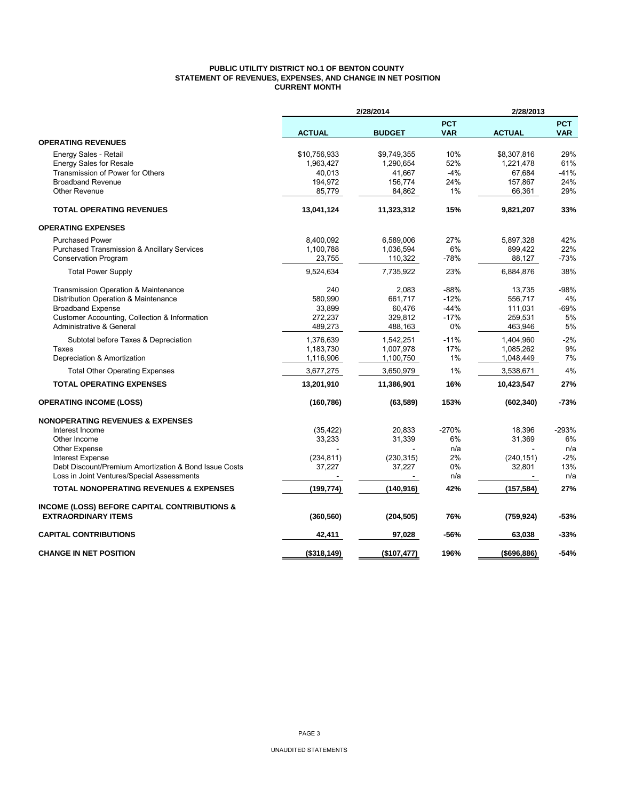## **PUBLIC UTILITY DISTRICT NO.1 OF BENTON COUNTY STATEMENT OF REVENUES, EXPENSES, AND CHANGE IN NET POSITION CURRENT MONTH**

|                                                         |               | 2/28/2014     |                          | 2/28/2013     |                          |
|---------------------------------------------------------|---------------|---------------|--------------------------|---------------|--------------------------|
|                                                         | <b>ACTUAL</b> | <b>BUDGET</b> | <b>PCT</b><br><b>VAR</b> | <b>ACTUAL</b> | <b>PCT</b><br><b>VAR</b> |
| <b>OPERATING REVENUES</b>                               |               |               |                          |               |                          |
| Energy Sales - Retail                                   | \$10,756,933  | \$9,749,355   | 10%                      | \$8,307,816   | 29%                      |
| <b>Energy Sales for Resale</b>                          | 1,963,427     | 1,290,654     | 52%                      | 1,221,478     | 61%                      |
| Transmission of Power for Others                        | 40,013        | 41,667        | $-4%$                    | 67,684        | $-41%$                   |
| <b>Broadband Revenue</b>                                | 194,972       | 156,774       | 24%                      | 157,867       | 24%                      |
| <b>Other Revenue</b>                                    | 85,779        | 84,862        | 1%                       | 66,361        | 29%                      |
| <b>TOTAL OPERATING REVENUES</b>                         | 13,041,124    | 11,323,312    | 15%                      | 9,821,207     | 33%                      |
| <b>OPERATING EXPENSES</b>                               |               |               |                          |               |                          |
| <b>Purchased Power</b>                                  | 8,400,092     | 6,589,006     | 27%                      | 5,897,328     | 42%                      |
| <b>Purchased Transmission &amp; Ancillary Services</b>  | 1,100,788     | 1,036,594     | 6%                       | 899,422       | 22%                      |
| <b>Conservation Program</b>                             | 23,755        | 110,322       | $-78%$                   | 88,127        | $-73%$                   |
| <b>Total Power Supply</b>                               | 9,524,634     | 7,735,922     | 23%                      | 6,884,876     | 38%                      |
| <b>Transmission Operation &amp; Maintenance</b>         | 240           | 2,083         | $-88%$                   | 13,735        | $-98%$                   |
| Distribution Operation & Maintenance                    | 580,990       | 661,717       | $-12%$                   | 556,717       | 4%                       |
| <b>Broadband Expense</b>                                | 33,899        | 60,476        | $-44%$                   | 111,031       | $-69%$                   |
| Customer Accounting, Collection & Information           | 272,237       | 329,812       | $-17%$                   | 259,531       | 5%                       |
| Administrative & General                                | 489,273       | 488,163       | 0%                       | 463,946       | 5%                       |
| Subtotal before Taxes & Depreciation                    | 1,376,639     | 1,542,251     | $-11%$                   | 1,404,960     | $-2%$                    |
| Taxes                                                   | 1,183,730     | 1,007,978     | 17%                      | 1,085,262     | 9%                       |
| Depreciation & Amortization                             | 1,116,906     | 1,100,750     | 1%                       | 1,048,449     | 7%                       |
| <b>Total Other Operating Expenses</b>                   | 3,677,275     | 3,650,979     | 1%                       | 3,538,671     | 4%                       |
| <b>TOTAL OPERATING EXPENSES</b>                         | 13,201,910    | 11,386,901    | 16%                      | 10,423,547    | 27%                      |
| <b>OPERATING INCOME (LOSS)</b>                          | (160, 786)    | (63, 589)     | 153%                     | (602, 340)    | $-73%$                   |
| <b>NONOPERATING REVENUES &amp; EXPENSES</b>             |               |               |                          |               |                          |
| Interest Income                                         | (35, 422)     | 20,833        | $-270%$                  | 18,396        | $-293%$                  |
| Other Income                                            | 33,233        | 31,339        | 6%                       | 31,369        | 6%                       |
| Other Expense                                           |               |               | n/a                      |               | n/a                      |
| Interest Expense                                        | (234, 811)    | (230, 315)    | 2%                       | (240, 151)    | $-2%$                    |
| Debt Discount/Premium Amortization & Bond Issue Costs   | 37,227        | 37,227        | $0\%$                    | 32,801        | 13%                      |
| Loss in Joint Ventures/Special Assessments              |               |               | n/a                      |               | n/a                      |
| <b>TOTAL NONOPERATING REVENUES &amp; EXPENSES</b>       | (199, 774)    | (140, 916)    | 42%                      | (157,584)     | 27%                      |
| <b>INCOME (LOSS) BEFORE CAPITAL CONTRIBUTIONS &amp;</b> |               |               |                          |               |                          |
| <b>EXTRAORDINARY ITEMS</b>                              | (360, 560)    | (204, 505)    | 76%                      | (759, 924)    | $-53%$                   |
| <b>CAPITAL CONTRIBUTIONS</b>                            | 42,411        | 97,028        | -56%                     | 63,038        | $-33%$                   |
| <b>CHANGE IN NET POSITION</b>                           | (\$318, 149)  | (\$107,477)   | 196%                     | ( \$696, 886) | $-54%$                   |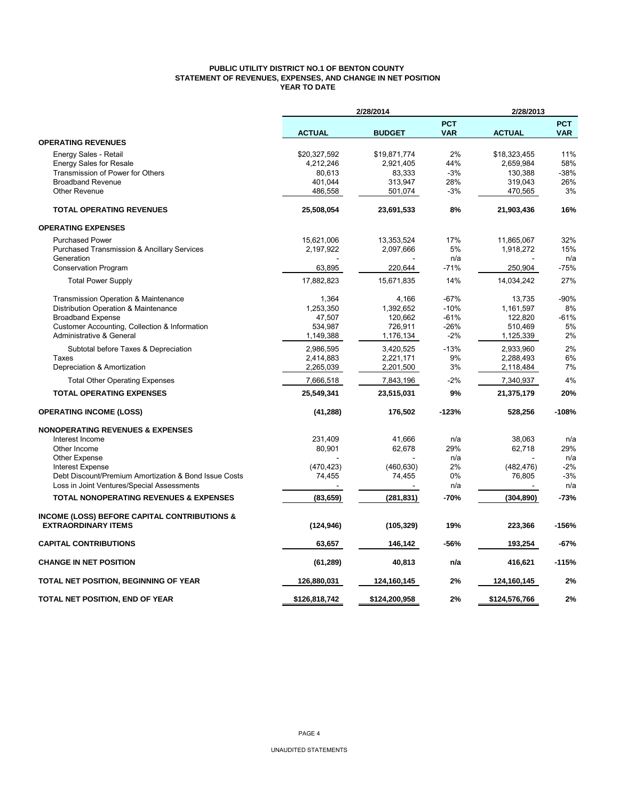## **PUBLIC UTILITY DISTRICT NO.1 OF BENTON COUNTY STATEMENT OF REVENUES, EXPENSES, AND CHANGE IN NET POSITION YEAR TO DATE**

|                                                         |               | 2/28/2014     |                          | 2/28/2013     |                          |
|---------------------------------------------------------|---------------|---------------|--------------------------|---------------|--------------------------|
|                                                         | <b>ACTUAL</b> | <b>BUDGET</b> | <b>PCT</b><br><b>VAR</b> | <b>ACTUAL</b> | <b>PCT</b><br><b>VAR</b> |
| <b>OPERATING REVENUES</b>                               |               |               |                          |               |                          |
| Energy Sales - Retail                                   | \$20,327,592  | \$19,871,774  | 2%                       | \$18,323,455  | 11%                      |
| <b>Energy Sales for Resale</b>                          | 4,212,246     | 2,921,405     | 44%                      | 2,659,984     | 58%                      |
| Transmission of Power for Others                        | 80.613        | 83.333        | $-3%$                    | 130.388       | -38%                     |
| <b>Broadband Revenue</b>                                | 401,044       | 313,947       | 28%                      | 319,043       | 26%                      |
| Other Revenue                                           | 486,558       | 501,074       | $-3%$                    | 470,565       | 3%                       |
| <b>TOTAL OPERATING REVENUES</b>                         | 25,508,054    | 23,691,533    | 8%                       | 21,903,436    | 16%                      |
| <b>OPERATING EXPENSES</b>                               |               |               |                          |               |                          |
| <b>Purchased Power</b>                                  | 15,621,006    | 13,353,524    | 17%                      | 11,865,067    | 32%                      |
| <b>Purchased Transmission &amp; Ancillary Services</b>  | 2,197,922     | 2,097,666     | 5%                       | 1,918,272     | 15%                      |
| Generation                                              |               |               | n/a                      |               | n/a                      |
| <b>Conservation Program</b>                             | 63,895        | 220,644       | $-71%$                   | 250,904       | -75%                     |
| <b>Total Power Supply</b>                               | 17,882,823    | 15,671,835    | 14%                      | 14,034,242    | 27%                      |
| Transmission Operation & Maintenance                    | 1,364         | 4,166         | $-67%$                   | 13.735        | $-90%$                   |
| Distribution Operation & Maintenance                    | 1,253,350     | 1,392,652     | $-10%$                   | 1,161,597     | 8%                       |
| <b>Broadband Expense</b>                                | 47,507        | 120,662       | $-61%$                   | 122,820       | $-61%$                   |
| Customer Accounting, Collection & Information           | 534,987       | 726,911       | $-26%$                   | 510,469       | 5%                       |
| Administrative & General                                | 1,149,388     | 1,176,134     | $-2%$                    | 1,125,339     | 2%                       |
| Subtotal before Taxes & Depreciation                    | 2,986,595     | 3,420,525     | $-13%$                   | 2,933,960     | 2%                       |
| <b>Taxes</b>                                            | 2,414,883     | 2,221,171     | 9%                       | 2,288,493     | 6%                       |
| Depreciation & Amortization                             | 2,265,039     | 2,201,500     | 3%                       | 2,118,484     | 7%                       |
| <b>Total Other Operating Expenses</b>                   | 7,666,518     | 7,843,196     | $-2%$                    | 7,340,937     | 4%                       |
| <b>TOTAL OPERATING EXPENSES</b>                         | 25,549,341    | 23,515,031    | 9%                       | 21,375,179    | 20%                      |
| <b>OPERATING INCOME (LOSS)</b>                          | (41, 288)     | 176,502       | $-123%$                  | 528,256       | $-108%$                  |
| <b>NONOPERATING REVENUES &amp; EXPENSES</b>             |               |               |                          |               |                          |
| Interest Income                                         | 231,409       | 41.666        | n/a                      | 38.063        | n/a                      |
| Other Income                                            | 80,901        | 62,678        | 29%                      | 62,718        | 29%                      |
| Other Expense                                           |               |               | n/a                      |               | n/a                      |
| <b>Interest Expense</b>                                 | (470, 423)    | (460, 630)    | 2%                       | (482, 476)    | $-2%$                    |
| Debt Discount/Premium Amortization & Bond Issue Costs   | 74,455        | 74,455        | 0%                       | 76,805        | $-3%$                    |
| Loss in Joint Ventures/Special Assessments              |               |               | n/a                      |               | n/a                      |
| <b>TOTAL NONOPERATING REVENUES &amp; EXPENSES</b>       | (83, 659)     | (281, 831)    | $-70%$                   | (304, 890)    | $-73%$                   |
| <b>INCOME (LOSS) BEFORE CAPITAL CONTRIBUTIONS &amp;</b> |               |               |                          |               |                          |
| <b>EXTRAORDINARY ITEMS</b>                              | (124, 946)    | (105, 329)    | 19%                      | 223,366       | $-156%$                  |
| <b>CAPITAL CONTRIBUTIONS</b>                            | 63,657        | 146,142       | -56%                     | 193,254       | -67%                     |
| <b>CHANGE IN NET POSITION</b>                           | (61, 289)     | 40,813        | n/a                      | 416,621       | $-115%$                  |
| TOTAL NET POSITION, BEGINNING OF YEAR                   | 126,880,031   | 124,160,145   | 2%                       | 124,160,145   | 2%                       |
| TOTAL NET POSITION, END OF YEAR                         | \$126,818,742 | \$124,200,958 | 2%                       | \$124,576,766 | 2%                       |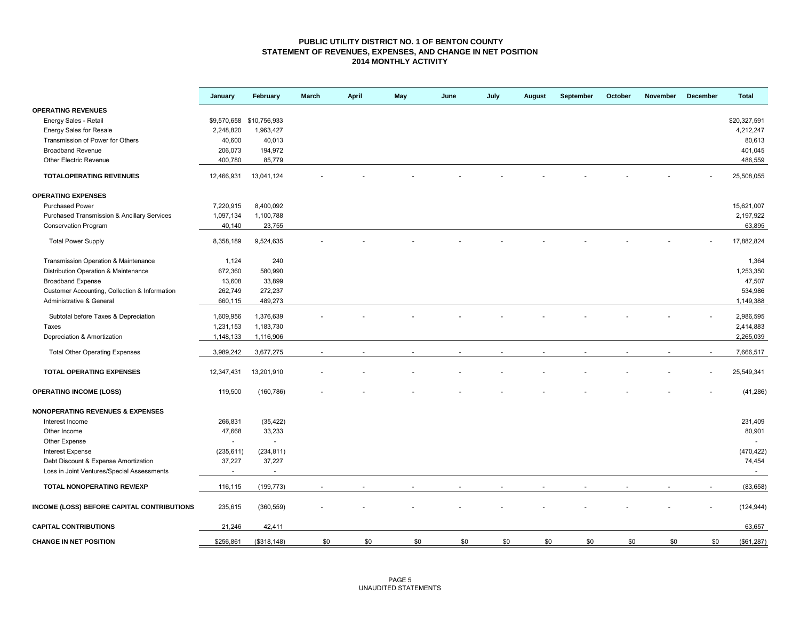### **PUBLIC UTILITY DISTRICT NO. 1 OF BENTON COUNTY STATEMENT OF REVENUES, EXPENSES, AND CHANGE IN NET POSITION 2014 MONTHLY ACTIVITY**

|                                               | January    | February                 | March | April | May | June | July | August | September | October | November | December | <b>Total</b> |
|-----------------------------------------------|------------|--------------------------|-------|-------|-----|------|------|--------|-----------|---------|----------|----------|--------------|
| <b>OPERATING REVENUES</b>                     |            |                          |       |       |     |      |      |        |           |         |          |          |              |
| Energy Sales - Retail                         |            | \$9,570,658 \$10,756,933 |       |       |     |      |      |        |           |         |          |          | \$20,327,591 |
| <b>Energy Sales for Resale</b>                | 2,248,820  | 1,963,427                |       |       |     |      |      |        |           |         |          |          | 4,212,247    |
| Transmission of Power for Others              | 40,600     | 40,013                   |       |       |     |      |      |        |           |         |          |          | 80,613       |
| <b>Broadband Revenue</b>                      | 206,073    | 194,972                  |       |       |     |      |      |        |           |         |          |          | 401,045      |
| <b>Other Electric Revenue</b>                 | 400,780    | 85,779                   |       |       |     |      |      |        |           |         |          |          | 486,559      |
| <b>TOTALOPERATING REVENUES</b>                | 12,466,931 | 13,041,124               |       |       |     |      |      |        |           |         |          |          | 25,508,055   |
| <b>OPERATING EXPENSES</b>                     |            |                          |       |       |     |      |      |        |           |         |          |          |              |
| <b>Purchased Power</b>                        | 7,220,915  | 8,400,092                |       |       |     |      |      |        |           |         |          |          | 15,621,007   |
| Purchased Transmission & Ancillary Services   | 1,097,134  | 1,100,788                |       |       |     |      |      |        |           |         |          |          | 2,197,922    |
| <b>Conservation Program</b>                   | 40,140     | 23,755                   |       |       |     |      |      |        |           |         |          |          | 63,895       |
| <b>Total Power Supply</b>                     | 8,358,189  | 9,524,635                |       |       |     |      |      |        |           |         |          |          | 17,882,824   |
| Transmission Operation & Maintenance          | 1,124      | 240                      |       |       |     |      |      |        |           |         |          |          | 1,364        |
| Distribution Operation & Maintenance          | 672,360    | 580,990                  |       |       |     |      |      |        |           |         |          |          | 1,253,350    |
| <b>Broadband Expense</b>                      | 13,608     | 33,899                   |       |       |     |      |      |        |           |         |          |          | 47,507       |
| Customer Accounting, Collection & Information | 262,749    | 272,237                  |       |       |     |      |      |        |           |         |          |          | 534,986      |
| Administrative & General                      | 660,115    | 489,273                  |       |       |     |      |      |        |           |         |          |          | 1,149,388    |
|                                               |            |                          |       |       |     |      |      |        |           |         |          |          |              |
| Subtotal before Taxes & Depreciation          | 1,609,956  | 1,376,639                |       |       |     |      |      |        |           |         |          |          | 2,986,595    |
| Taxes                                         | 1,231,153  | 1,183,730                |       |       |     |      |      |        |           |         |          |          | 2,414,883    |
| Depreciation & Amortization                   | 1,148,133  | 1,116,906                |       |       |     |      |      |        |           |         |          |          | 2,265,039    |
| <b>Total Other Operating Expenses</b>         | 3,989,242  | 3,677,275                |       |       |     |      |      |        |           |         |          |          | 7,666,517    |
| TOTAL OPERATING EXPENSES                      | 12,347,431 | 13,201,910               |       |       |     |      |      |        |           |         |          |          | 25,549,341   |
| <b>OPERATING INCOME (LOSS)</b>                | 119,500    | (160, 786)               |       |       |     |      |      |        |           |         |          |          | (41, 286)    |
| <b>NONOPERATING REVENUES &amp; EXPENSES</b>   |            |                          |       |       |     |      |      |        |           |         |          |          |              |
| Interest Income                               | 266,831    | (35, 422)                |       |       |     |      |      |        |           |         |          |          | 231,409      |
| Other Income                                  | 47,668     | 33,233                   |       |       |     |      |      |        |           |         |          |          | 80,901       |
| Other Expense                                 | $\bar{a}$  | $\blacksquare$           |       |       |     |      |      |        |           |         |          |          | $\sim$       |
| <b>Interest Expense</b>                       | (235, 611) | (234, 811)               |       |       |     |      |      |        |           |         |          |          | (470, 422)   |
| Debt Discount & Expense Amortization          | 37,227     | 37,227                   |       |       |     |      |      |        |           |         |          |          | 74,454       |
| Loss in Joint Ventures/Special Assessments    | $\sim$     | $\sim$                   |       |       |     |      |      |        |           |         |          |          | $\sim$       |
| TOTAL NONOPERATING REV/EXP                    | 116,115    | (199, 773)               |       |       |     |      |      |        |           |         |          |          | (83, 658)    |
| INCOME (LOSS) BEFORE CAPITAL CONTRIBUTIONS    | 235,615    | (360, 559)               |       |       |     |      |      |        |           |         |          |          | (124, 944)   |
| <b>CAPITAL CONTRIBUTIONS</b>                  | 21,246     | 42,411                   |       |       |     |      |      |        |           |         |          |          | 63,657       |
| <b>CHANGE IN NET POSITION</b>                 | \$256,861  | (\$318, 148)             | \$0   | \$0   | \$0 | \$0  | \$0  | \$0    | \$0       | \$0     | \$0      | \$0      | (\$61,287)   |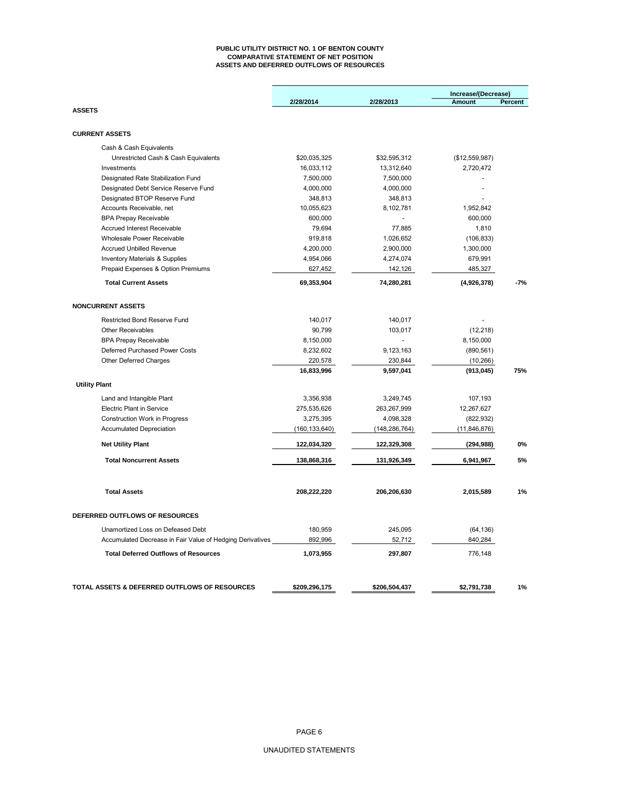#### **PUBLIC UTILITY DISTRICT NO. 1 OF BENTON COUNTY COMPARATIVE STATEMENT OF NET POSITION ASSETS AND DEFERRED OUTFLOWS OF RESOURCES**

|                                                                                                |                    |                        | Increase/(Decrease)  |         |
|------------------------------------------------------------------------------------------------|--------------------|------------------------|----------------------|---------|
| <b>ASSETS</b>                                                                                  | 2/28/2014          | 2/28/2013              | Amount               | Percent |
|                                                                                                |                    |                        |                      |         |
| <b>CURRENT ASSETS</b>                                                                          |                    |                        |                      |         |
| Cash & Cash Equivalents                                                                        |                    |                        |                      |         |
| Unrestricted Cash & Cash Equivalents                                                           | \$20,035,325       | \$32,595,312           | (\$12,559,987)       |         |
| Investments                                                                                    | 16,033,112         | 13,312,640             | 2,720,472            |         |
| Designated Rate Stabilization Fund                                                             | 7,500,000          | 7,500,000              |                      |         |
| Designated Debt Service Reserve Fund                                                           | 4,000,000          | 4,000,000              | $\sim$               |         |
| Designated BTOP Reserve Fund                                                                   | 348,813            | 348,813                |                      |         |
| Accounts Receivable, net                                                                       | 10,055,623         | 8,102,781              | 1,952,842            |         |
| <b>BPA Prepay Receivable</b>                                                                   | 600,000<br>79,694  | 77,885                 | 600,000              |         |
| <b>Accrued Interest Receivable</b><br>Wholesale Power Receivable                               | 919,818            |                        | 1,810                |         |
| <b>Accrued Unbilled Revenue</b>                                                                | 4,200,000          | 1,026,652<br>2,900,000 | (106, 833)           |         |
| <b>Inventory Materials &amp; Supplies</b>                                                      | 4,954,066          | 4,274,074              | 1,300,000<br>679,991 |         |
| Prepaid Expenses & Option Premiums                                                             | 627,452            |                        | 485,327              |         |
| <b>Total Current Assets</b>                                                                    | 69,353,904         | 142,126<br>74,280,281  |                      | $-7%$   |
|                                                                                                |                    |                        | (4,926,378)          |         |
| <b>NONCURRENT ASSETS</b>                                                                       |                    |                        |                      |         |
| Restricted Bond Reserve Fund                                                                   | 140,017            | 140,017                |                      |         |
| <b>Other Receivables</b>                                                                       | 90,799             | 103,017                | (12, 218)            |         |
| <b>BPA Prepay Receivable</b>                                                                   | 8,150,000          |                        | 8,150,000            |         |
| Deferred Purchased Power Costs                                                                 | 8,232,602          | 9,123,163              | (890, 561)           |         |
| <b>Other Deferred Charges</b>                                                                  | 220,578            | 230,844                | (10, 266)            |         |
|                                                                                                | 16,833,996         | 9,597,041              | (913, 045)           | 75%     |
| <b>Utility Plant</b>                                                                           |                    |                        |                      |         |
| Land and Intangible Plant                                                                      | 3,356,938          | 3,249,745              | 107,193              |         |
| <b>Electric Plant in Service</b>                                                               | 275,535,626        | 263,267,999            | 12,267,627           |         |
| <b>Construction Work in Progress</b>                                                           | 3,275,395          | 4,098,328              | (822, 932)           |         |
| <b>Accumulated Depreciation</b>                                                                | (160, 133, 640)    | (148, 286, 764)        | (11, 846, 876)       |         |
| <b>Net Utility Plant</b>                                                                       | 122,034,320        | 122,329,308            | (294, 988)           | 0%      |
| <b>Total Noncurrent Assets</b>                                                                 | 138,868,316        | 131,926,349            | 6,941,967            | 5%      |
| <b>Total Assets</b>                                                                            | 208,222,220        | 206,206,630            | 2,015,589            | 1%      |
| DEFERRED OUTFLOWS OF RESOURCES                                                                 |                    |                        |                      |         |
|                                                                                                |                    |                        |                      |         |
| Unamortized Loss on Defeased Debt<br>Accumulated Decrease in Fair Value of Hedging Derivatives | 180,959<br>892,996 | 245,095<br>52,712      | (64, 136)<br>840,284 |         |
|                                                                                                |                    |                        |                      |         |
| <b>Total Deferred Outflows of Resources</b>                                                    | 1,073,955          | 297,807                | 776,148              |         |
|                                                                                                |                    |                        |                      |         |
| TOTAL ASSETS & DEFERRED OUTFLOWS OF RESOURCES                                                  | \$209,296,175      | \$206,504,437          | \$2,791,738          | 1%      |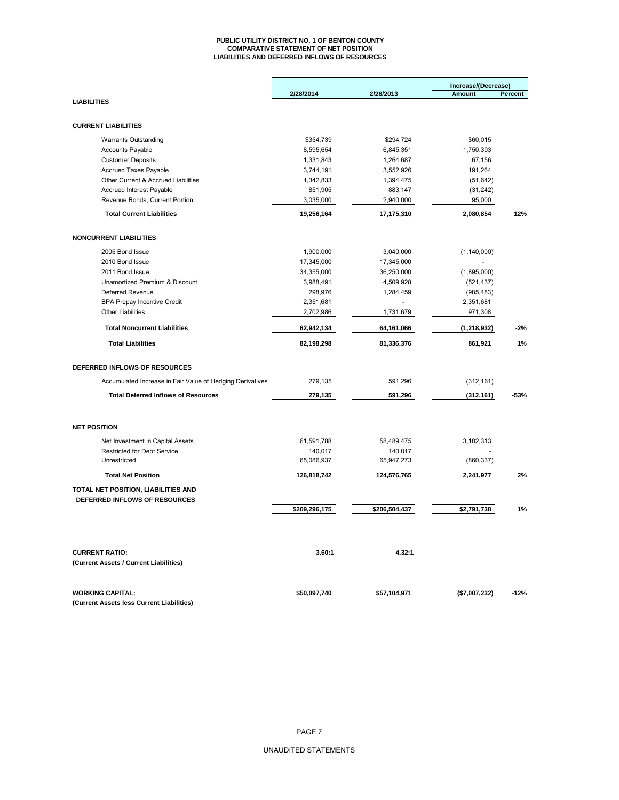#### **PUBLIC UTILITY DISTRICT NO. 1 OF BENTON COUNTY COMPARATIVE STATEMENT OF NET POSITION LIABILITIES AND DEFERRED INFLOWS OF RESOURCES**

|                                                                 |               |               | Increase/(Decrease) |         |
|-----------------------------------------------------------------|---------------|---------------|---------------------|---------|
|                                                                 | 2/28/2014     | 2/28/2013     | <b>Amount</b>       | Percent |
| <b>LIABILITIES</b>                                              |               |               |                     |         |
| <b>CURRENT LIABILITIES</b>                                      |               |               |                     |         |
| <b>Warrants Outstanding</b>                                     | \$354,739     | \$294,724     | \$60,015            |         |
| <b>Accounts Payable</b>                                         | 8,595,654     | 6,845,351     | 1,750,303           |         |
| <b>Customer Deposits</b>                                        | 1,331,843     | 1,264,687     | 67,156              |         |
| Accrued Taxes Payable                                           | 3,744,191     | 3,552,926     | 191,264             |         |
| Other Current & Accrued Liabilities                             | 1,342,833     | 1,394,475     | (51, 642)           |         |
| <b>Accrued Interest Payable</b>                                 | 851,905       | 883,147       | (31, 242)           |         |
| Revenue Bonds, Current Portion                                  | 3,035,000     | 2,940,000     | 95,000              |         |
| <b>Total Current Liabilities</b>                                | 19,256,164    | 17,175,310    | 2,080,854           | 12%     |
| <b>NONCURRENT LIABILITIES</b>                                   |               |               |                     |         |
| 2005 Bond Issue                                                 | 1,900,000     | 3,040,000     | (1, 140, 000)       |         |
| 2010 Bond Issue                                                 | 17,345,000    | 17,345,000    |                     |         |
| 2011 Bond Issue                                                 | 34,355,000    | 36,250,000    | (1,895,000)         |         |
| Unamortized Premium & Discount                                  | 3,988,491     | 4,509,928     | (521, 437)          |         |
| <b>Deferred Revenue</b>                                         | 298,976       | 1,284,459     | (985, 483)          |         |
| <b>BPA Prepay Incentive Credit</b>                              | 2,351,681     |               | 2,351,681           |         |
| <b>Other Liabilities</b>                                        | 2,702,986     | 1,731,679     | 971,308             |         |
| <b>Total Noncurrent Liabilities</b>                             | 62,942,134    | 64,161,066    | (1, 218, 932)       | $-2%$   |
| <b>Total Liabilities</b>                                        | 82,198,298    | 81,336,376    | 861,921             | 1%      |
| DEFERRED INFLOWS OF RESOURCES                                   |               |               |                     |         |
| Accumulated Increase in Fair Value of Hedging Derivatives       | 279,135       | 591,296       | (312, 161)          |         |
| <b>Total Deferred Inflows of Resources</b>                      | 279,135       | 591,296       | (312, 161)          | $-53%$  |
| <b>NET POSITION</b>                                             |               |               |                     |         |
| Net Investment in Capital Assets                                | 61,591,788    | 58,489,475    | 3,102,313           |         |
| <b>Restricted for Debt Service</b>                              | 140,017       | 140,017       |                     |         |
| Unrestricted                                                    | 65,086,937    | 65,947,273    | (860, 337)          |         |
| <b>Total Net Position</b>                                       | 126,818,742   | 124,576,765   | 2,241,977           | 2%      |
| TOTAL NET POSITION, LIABILITIES AND                             |               |               |                     |         |
| DEFERRED INFLOWS OF RESOURCES                                   |               |               |                     |         |
|                                                                 | \$209,296,175 | \$206,504,437 | \$2,791,738         | 1%      |
|                                                                 |               |               |                     |         |
| <b>CURRENT RATIO:</b><br>(Current Assets / Current Liabilities) | 3.60:1        | 4.32:1        |                     |         |
| <b>WORKING CAPITAL:</b>                                         | \$50,097,740  | \$57,104,971  | (\$7,007,232)       | $-12%$  |
| (Current Assets less Current Liabilities)                       |               |               |                     |         |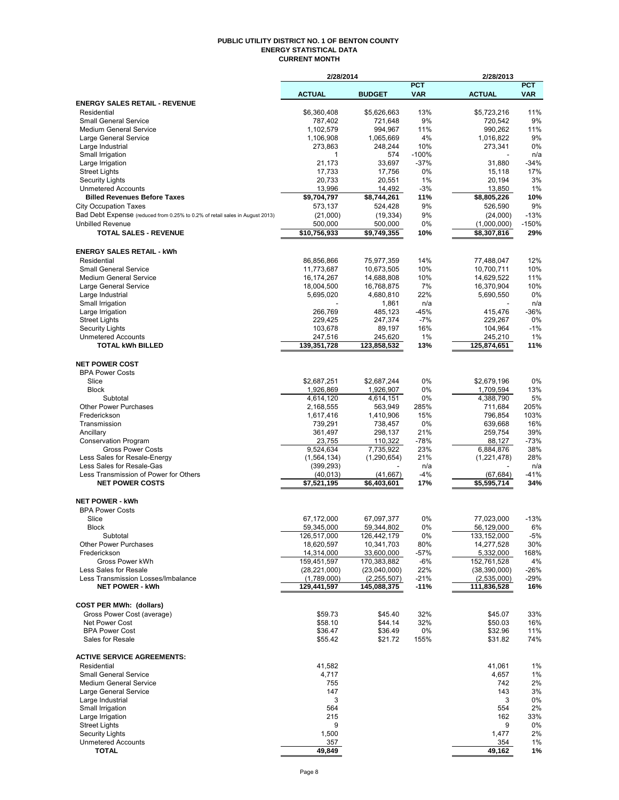#### **PUBLIC UTILITY DISTRICT NO. 1 OF BENTON COUNTY ENERGY STATISTICAL DATA CURRENT MONTH**

|                                                                              | 2/28/2014                  |                              |                | 2/28/2013                  |               |
|------------------------------------------------------------------------------|----------------------------|------------------------------|----------------|----------------------------|---------------|
|                                                                              |                            |                              | <b>PCT</b>     |                            | <b>PCT</b>    |
| <b>ENERGY SALES RETAIL - REVENUE</b>                                         | <b>ACTUAL</b>              | <b>BUDGET</b>                | <b>VAR</b>     | <b>ACTUAL</b>              | <b>VAR</b>    |
| Residential                                                                  | \$6,360,408                | \$5,626,663                  | 13%            | \$5,723,216                | 11%           |
| <b>Small General Service</b>                                                 | 787,402                    | 721,648                      | 9%             | 720,542                    | 9%            |
| <b>Medium General Service</b>                                                | 1,102,579                  | 994,967                      | 11%            | 990,262                    | 11%           |
| Large General Service                                                        | 1,106,908                  | 1,065,669                    | 4%             | 1,016,822                  | 9%            |
| Large Industrial                                                             | 273,863                    | 248,244                      | 10%            | 273,341                    | 0%            |
| Small Irrigation                                                             | 1                          | 574                          | $-100%$        |                            | n/a           |
| Large Irrigation<br><b>Street Lights</b>                                     | 21,173<br>17,733           | 33,697<br>17,756             | $-37%$<br>0%   | 31,880<br>15,118           | $-34%$<br>17% |
| <b>Security Lights</b>                                                       | 20,733                     | 20.551                       | 1%             | 20,194                     | 3%            |
| <b>Unmetered Accounts</b>                                                    | 13,996                     | 14,492                       | $-3%$          | 13,850                     | 1%            |
| <b>Billed Revenues Before Taxes</b>                                          | \$9,704,797                | \$8,744,261                  | 11%            | \$8,805,226                | 10%           |
| <b>City Occupation Taxes</b>                                                 | 573,137                    | 524,428                      | 9%             | 526,590                    | 9%            |
| Bad Debt Expense (reduced from 0.25% to 0.2% of retail sales in August 2013) | (21,000)                   | (19, 334)                    | 9%             | (24,000)                   | $-13%$        |
| <b>Unbilled Revenue</b>                                                      | 500,000                    | 500,000                      | 0%             | (1,000,000)                | $-150%$       |
| <b>TOTAL SALES - REVENUE</b>                                                 | \$10,756,933               | \$9,749,355                  | 10%            | \$8,307,816                | 29%           |
| <b>ENERGY SALES RETAIL - kWh</b>                                             |                            |                              |                |                            |               |
| Residential                                                                  | 86,856,866                 | 75,977,359                   | 14%            | 77,488,047                 | 12%           |
| <b>Small General Service</b>                                                 | 11,773,687                 | 10,673,505                   | 10%            | 10,700,711                 | 10%           |
| <b>Medium General Service</b>                                                | 16, 174, 267               | 14,688,808                   | 10%            | 14,629,522                 | 11%           |
| Large General Service                                                        | 18,004,500                 | 16,768,875                   | 7%             | 16,370,904                 | 10%           |
| Large Industrial                                                             | 5,695,020                  | 4,680,810                    | 22%            | 5,690,550                  | 0%            |
| Small Irrigation                                                             |                            | 1,861                        | n/a            |                            | n/a           |
| Large Irrigation                                                             | 266,769                    | 485,123                      | $-45%$         | 415,476                    | $-36%$        |
| <b>Street Lights</b>                                                         | 229,425                    | 247,374                      | $-7%$          | 229,267                    | 0%            |
| Security Lights                                                              | 103.678                    | 89,197                       | 16%            | 104,964                    | $-1%$         |
| <b>Unmetered Accounts</b><br><b>TOTAL kWh BILLED</b>                         | 247,516<br>139,351,728     | 245,620<br>123,858,532       | 1%<br>13%      | 245,210<br>125,874,651     | 1%<br>11%     |
|                                                                              |                            |                              |                |                            |               |
| <b>NET POWER COST</b>                                                        |                            |                              |                |                            |               |
| <b>BPA Power Costs</b>                                                       |                            |                              |                |                            |               |
| Slice                                                                        | \$2,687,251                | \$2,687,244                  | 0%             | \$2,679,196                | 0%            |
| <b>Block</b><br>Subtotal                                                     | 1,926,869                  | 1,926,907                    | 0%<br>0%       | 1,709,594<br>4,388,790     | 13%<br>5%     |
| <b>Other Power Purchases</b>                                                 | 4,614,120<br>2,168,555     | 4,614,151<br>563,949         | 285%           | 711,684                    | 205%          |
| Frederickson                                                                 | 1,617,416                  | 1,410,906                    | 15%            | 796,854                    | 103%          |
| Transmission                                                                 | 739,291                    | 738,457                      | 0%             | 639,668                    | 16%           |
| Ancillary                                                                    | 361,497                    | 298,137                      | 21%            | 259,754                    | 39%           |
| <b>Conservation Program</b>                                                  | 23,755                     | 110,322                      | $-78%$         | 88,127                     | $-73%$        |
| <b>Gross Power Costs</b>                                                     | 9,524,634                  | 7,735,922                    | 23%            | 6,884,876                  | 38%           |
| Less Sales for Resale-Energy                                                 | (1, 564, 134)              | (1, 290, 654)                | 21%            | (1,221,478)                | 28%           |
| Less Sales for Resale-Gas<br>Less Transmission of Power for Others           | (399, 293)                 |                              | n/a            |                            | n/a<br>-41%   |
| <b>NET POWER COSTS</b>                                                       | (40, 013)<br>\$7,521,195   | (41, 667)<br>\$6,403,601     | -4%<br>17%     | (67, 684)<br>\$5,595,714   | 34%           |
|                                                                              |                            |                              |                |                            |               |
| <b>NET POWER - kWh</b>                                                       |                            |                              |                |                            |               |
| <b>BPA Power Costs</b><br>Slice                                              | 67,172,000                 | 67,097,377                   | 0%             | 77,023,000                 | $-13%$        |
| <b>Block</b>                                                                 | 59,345,000                 | 59,344,802                   | 0%             | 56,129,000                 | 6%            |
| Subtotal                                                                     | 126,517,000                | 126,442,179                  | 0%             | 133,152,000                | -5%           |
| <b>Other Power Purchases</b>                                                 | 18,620,597                 | 10,341,703                   | 80%            | 14,277,528                 | 30%           |
| Frederickson                                                                 | 14,314,000                 | 33,600,000                   | -57%           | 5,332,000                  | 168%          |
| Gross Power kWh                                                              | 159,451,597                | 170,383,882                  | -6%            | 152,761,528                | 4%            |
| Less Sales for Resale                                                        | (28, 221, 000)             | (23,040,000)                 | 22%            | (38, 390, 000)             | -26%          |
| Less Transmission Losses/Imbalance<br><b>NET POWER - kWh</b>                 | (1,789,000)<br>129,441,597 | (2, 255, 507)<br>145,088,375 | $-21%$<br>-11% | (2,535,000)<br>111,836,528 | -29%<br>16%   |
|                                                                              |                            |                              |                |                            |               |
| <b>COST PER MWh: (dollars)</b>                                               |                            |                              |                |                            |               |
| Gross Power Cost (average)                                                   | \$59.73                    | \$45.40                      | 32%            | \$45.07                    | 33%           |
| Net Power Cost                                                               | \$58.10                    | \$44.14                      | 32%            | \$50.03                    | 16%           |
| <b>BPA Power Cost</b>                                                        | \$36.47                    | \$36.49                      | 0%             | \$32.96                    | 11%           |
| Sales for Resale                                                             | \$55.42                    | \$21.72                      | 155%           | \$31.82                    | 74%           |
| <b>ACTIVE SERVICE AGREEMENTS:</b>                                            |                            |                              |                |                            |               |
| Residential                                                                  | 41,582                     |                              |                | 41,061                     | 1%            |
| <b>Small General Service</b>                                                 | 4,717                      |                              |                | 4,657                      | 1%            |
| <b>Medium General Service</b>                                                | 755                        |                              |                | 742                        | 2%            |
| Large General Service                                                        | 147                        |                              |                | 143                        | 3%            |
| Large Industrial                                                             | 3                          |                              |                | 3                          | 0%            |
| Small Irrigation<br>Large Irrigation                                         | 564<br>215                 |                              |                | 554<br>162                 | 2%<br>33%     |
| <b>Street Lights</b>                                                         | 9                          |                              |                | 9                          | 0%            |
| <b>Security Lights</b>                                                       | 1,500                      |                              |                | 1,477                      | 2%            |
| <b>Unmetered Accounts</b>                                                    | 357                        |                              |                | 354                        | 1%            |
| <b>TOTAL</b>                                                                 | 49,849                     |                              |                | 49,162                     | 1%            |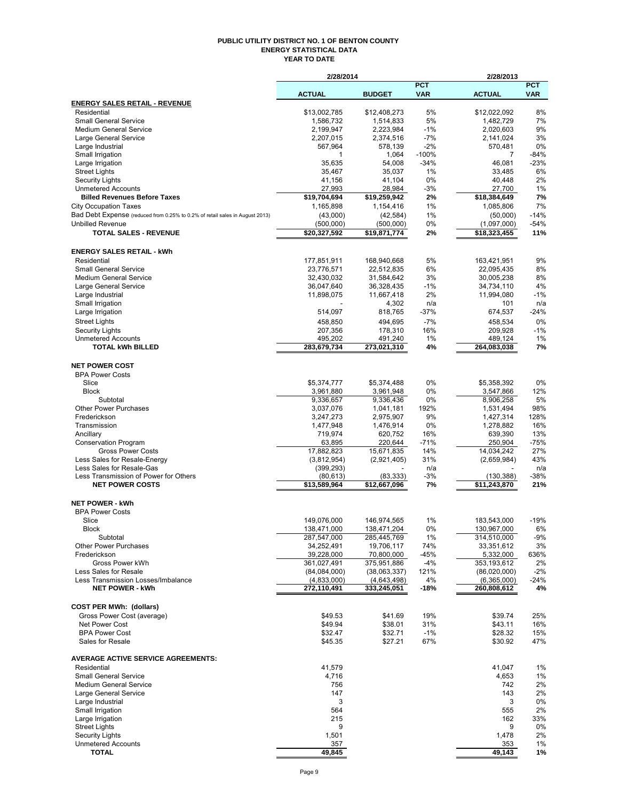#### **PUBLIC UTILITY DISTRICT NO. 1 OF BENTON COUNTY ENERGY STATISTICAL DATA YEAR TO DATE**

|                                                                              | 2/28/2014                 |                          |                          | 2/28/2013               |                          |
|------------------------------------------------------------------------------|---------------------------|--------------------------|--------------------------|-------------------------|--------------------------|
|                                                                              | <b>ACTUAL</b>             | <b>BUDGET</b>            | <b>PCT</b><br><b>VAR</b> | <b>ACTUAL</b>           | <b>PCT</b><br><b>VAR</b> |
| <b>ENERGY SALES RETAIL - REVENUE</b>                                         |                           |                          |                          |                         |                          |
| Residential                                                                  | \$13.002.785              | \$12,408,273             | 5%                       | \$12,022,092            | 8%                       |
| Small General Service                                                        | 1,586,732                 | 1,514,833                | 5%                       | 1,482,729               | 7%                       |
| <b>Medium General Service</b><br>Large General Service                       | 2,199,947<br>2,207,015    | 2,223,984<br>2,374,516   | $-1%$<br>$-7%$           | 2,020,603<br>2,141,024  | 9%<br>3%                 |
| Large Industrial                                                             | 567,964                   | 578,139                  | $-2%$                    | 570,481                 | 0%                       |
| Small Irrigation                                                             | 1                         | 1,064                    | $-100%$                  | 7                       | $-84%$                   |
| Large Irrigation                                                             | 35,635                    | 54,008                   | $-34%$                   | 46,081                  | $-23%$                   |
| <b>Street Lights</b>                                                         | 35,467                    | 35,037                   | 1%                       | 33,485                  | 6%                       |
| <b>Security Lights</b>                                                       | 41,156                    | 41,104                   | 0%                       | 40,448                  | 2%                       |
| <b>Unmetered Accounts</b><br><b>Billed Revenues Before Taxes</b>             | 27,993<br>\$19,704,694    | 28,984<br>\$19,259,942   | -3%<br>2%                | 27,700<br>\$18,384,649  | 1%<br>7%                 |
| <b>City Occupation Taxes</b>                                                 | 1,165,898                 | 1,154,416                | 1%                       | 1,085,806               | 7%                       |
| Bad Debt Expense (reduced from 0.25% to 0.2% of retail sales in August 2013) | (43,000)                  | (42, 584)                | 1%                       | (50,000)                | $-14%$                   |
| <b>Unbilled Revenue</b>                                                      | (500,000)                 | (500,000)                | 0%                       | (1,097,000)             | $-54%$                   |
| <b>TOTAL SALES - REVENUE</b>                                                 | \$20,327,592              | \$19,871,774             | 2%                       | \$18,323,455            | 11%                      |
| <b>ENERGY SALES RETAIL - kWh</b>                                             |                           |                          |                          |                         |                          |
| Residential                                                                  | 177,851,911               | 168,940,668              | 5%                       | 163,421,951             | 9%                       |
| <b>Small General Service</b>                                                 | 23,776,571                | 22,512,835               | 6%                       | 22,095,435              | 8%                       |
| <b>Medium General Service</b>                                                | 32,430,032                | 31,584,642               | 3%                       | 30,005,238              | 8%                       |
| Large General Service                                                        | 36,047,640                | 36,328,435               | $-1%$                    | 34,734,110              | 4%                       |
| Large Industrial<br>Small Irrigation                                         | 11,898,075                | 11,667,418<br>4,302      | 2%<br>n/a                | 11,994,080<br>101       | $-1%$<br>n/a             |
| Large Irrigation                                                             | 514,097                   | 818,765                  | $-37%$                   | 674,537                 | $-24%$                   |
| <b>Street Lights</b>                                                         | 458,850                   | 494,695                  | $-7%$                    | 458,534                 | 0%                       |
| <b>Security Lights</b>                                                       | 207,356                   | 178,310                  | 16%                      | 209,928                 | $-1%$                    |
| <b>Unmetered Accounts</b>                                                    | 495,202                   | 491,240                  | $1\%$                    | 489,124                 | 1%                       |
| <b>TOTAL kWh BILLED</b>                                                      | 283,679,734               | 273,021,310              | 4%                       | 264,083,038             | 7%                       |
| <b>NET POWER COST</b>                                                        |                           |                          |                          |                         |                          |
| <b>BPA Power Costs</b>                                                       |                           |                          |                          |                         |                          |
| Slice                                                                        | \$5,374,777               | \$5,374,488              | 0%                       | \$5,358,392             | 0%                       |
| <b>Block</b><br>Subtotal                                                     | 3,961,880                 | 3,961,948                | 0%<br>0%                 | 3,547,866               | 12%<br>5%                |
| <b>Other Power Purchases</b>                                                 | 9,336,657<br>3,037,076    | 9,336,436<br>1,041,181   | 192%                     | 8,906,258<br>1,531,494  | 98%                      |
| Frederickson                                                                 | 3,247,273                 | 2,975,907                | 9%                       | 1,427,314               | 128%                     |
| Transmission                                                                 | 1,477,948                 | 1,476,914                | 0%                       | 1,278,882               | 16%                      |
| Ancillary                                                                    | 719,974                   | 620,752                  | 16%                      | 639,390                 | 13%                      |
| <b>Conservation Program</b>                                                  | 63,895                    | 220,644                  | $-71%$                   | 250,904                 | $-75%$                   |
| <b>Gross Power Costs</b>                                                     | 17,882,823                | 15,671,835               | 14%                      | 14,034,242              | 27%                      |
| Less Sales for Resale-Energy<br>Less Sales for Resale-Gas                    | (3,812,954)<br>(399, 293) | (2,921,405)              | 31%<br>n/a               | (2,659,984)             | 43%<br>n/a               |
| Less Transmission of Power for Others                                        | (80, 613)                 | (83, 333)                | -3%                      | (130, 388)              | $-38%$                   |
| <b>NET POWER COSTS</b>                                                       | \$13,589,964              | \$12,667,096             | 7%                       | \$11,243,870            | 21%                      |
| <b>NET POWER - kWh</b>                                                       |                           |                          |                          |                         |                          |
| <b>BPA Power Costs</b>                                                       |                           |                          |                          |                         |                          |
| Slice                                                                        | 149,076,000               | 146,974,565              | 1%                       | 183,543,000             | $-19%$                   |
| Block                                                                        | 138,471,000               | 138,471,204              | 0%                       | 130,967,000             | 6%                       |
| Subtotal                                                                     | 287,547,000               | 285,445,769              | 1%                       | 314,510,000             | $-9%$                    |
| <b>Other Power Purchases</b><br>Frederickson                                 | 34,252,491<br>39,228,000  | 19,706,117<br>70,800,000 | 74%<br>$-45%$            | 33,351,612<br>5,332,000 | 3%<br>636%               |
| Gross Power kWh                                                              | 361,027,491               | 375,951,886              | $-4%$                    | 353,193,612             | 2%                       |
| Less Sales for Resale                                                        | (84,084,000)              | (38,063,337)             | 121%                     | (86,020,000)            | $-2%$                    |
| Less Transmission Losses/Imbalance                                           | (4,833,000)               | (4,643,498)              | 4%                       | (6,365,000)             | -24%                     |
| <b>NET POWER - kWh</b>                                                       | 272,110,491               | 333,245,051              | $-18%$                   | 260,808,612             | 4%                       |
| <b>COST PER MWh: (dollars)</b>                                               |                           |                          |                          |                         |                          |
| Gross Power Cost (average)<br>Net Power Cost                                 | \$49.53                   | \$41.69                  | 19%<br>31%               | \$39.74                 | 25%                      |
| <b>BPA Power Cost</b>                                                        | \$49.94<br>\$32.47        | \$38.01<br>\$32.71       | $-1%$                    | \$43.11<br>\$28.32      | 16%<br>15%               |
| Sales for Resale                                                             | \$45.35                   | \$27.21                  | 67%                      | \$30.92                 | 47%                      |
| <b>AVERAGE ACTIVE SERVICE AGREEMENTS:</b>                                    |                           |                          |                          |                         |                          |
| Residential                                                                  | 41,579                    |                          |                          | 41,047                  | 1%                       |
| <b>Small General Service</b>                                                 | 4,716                     |                          |                          | 4,653                   | 1%                       |
| <b>Medium General Service</b>                                                | 756                       |                          |                          | 742                     | 2%                       |
| Large General Service                                                        | 147                       |                          |                          | 143                     | 2%                       |
| Large Industrial                                                             | 3                         |                          |                          | 3                       | 0%                       |
| Small Irrigation<br>Large Irrigation                                         | 564<br>215                |                          |                          | 555<br>162              | 2%<br>33%                |
| <b>Street Lights</b>                                                         | 9                         |                          |                          | 9                       | 0%                       |
| <b>Security Lights</b>                                                       | 1,501                     |                          |                          | 1,478                   | 2%                       |
| <b>Unmetered Accounts</b>                                                    | 357                       |                          |                          | 353                     | 1%                       |
| <b>TOTAL</b>                                                                 | 49,845                    |                          |                          | 49,143                  | 1%                       |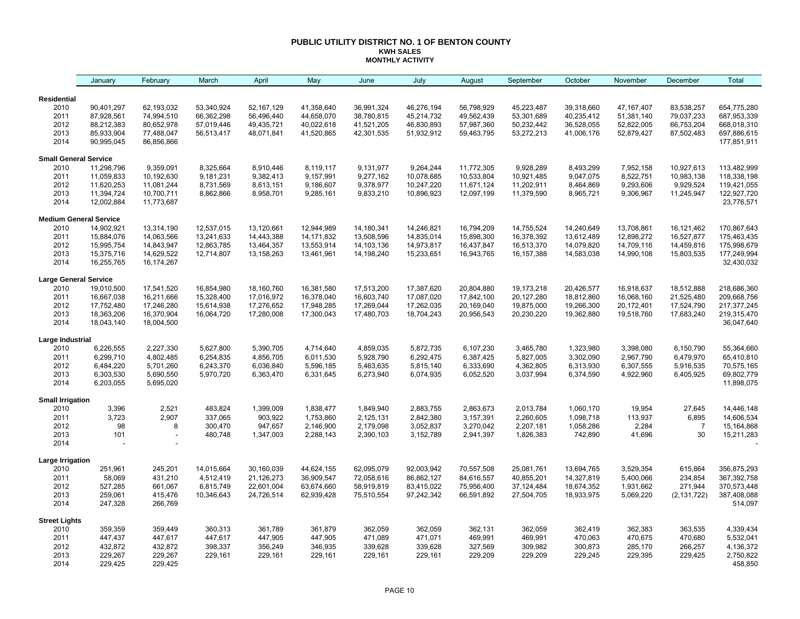#### **PUBLIC UTILITY DISTRICT NO. 1 OF BENTON COUNTY KWH SALES MONTHLY ACTIVITY**

|                               | January                  | February                 | March                    | April                    | May                      | June                     | July                     | August                   | September                | October                  | November                 | December                 | Total                      |
|-------------------------------|--------------------------|--------------------------|--------------------------|--------------------------|--------------------------|--------------------------|--------------------------|--------------------------|--------------------------|--------------------------|--------------------------|--------------------------|----------------------------|
| Residential                   |                          |                          |                          |                          |                          |                          |                          |                          |                          |                          |                          |                          |                            |
| 2010                          | 90,401,297               | 62,193,032               | 53,340,924               | 52,167,129               | 41,358,640               | 36,991,324               | 46,276,194               | 56,798,929               | 45,223,487               | 39,318,660               | 47, 167, 407             | 83,538,257               | 654,775,280                |
| 2011                          | 87,928,561               | 74,994,510               | 66,362,298               | 56,496,440               | 44,658,070               | 38,780,815               | 45,214,732               | 49,562,439               | 53,301,689               | 40,235,412               | 51,381,140               | 79,037,233               | 687,953,339                |
| 2012                          | 88,212,383               | 80,652,978               | 57,019,446               | 49,435,721               | 40,022,618               | 41,521,205               | 46,830,893               | 57,987,360               | 50,232,442               | 36,528,055               | 52,822,005               | 66,753,204               | 668,018,310                |
| 2013                          | 85,933,904               | 77,488,047               | 56,513,417               | 48,071,841               | 41,520,865               | 42,301,535               | 51,932,912               | 59,463,795               | 53,272,213               | 41,006,176               | 52,879,427               | 87,502,483               | 697,886,615                |
| 2014                          | 90,995,045               | 86,856,866               |                          |                          |                          |                          |                          |                          |                          |                          |                          |                          | 177,851,911                |
| <b>Small General Service</b>  |                          |                          |                          |                          |                          |                          |                          |                          |                          |                          |                          |                          |                            |
| 2010                          | 11,298,796               | 9,359,091                | 8,325,664                | 8,910,446                | 8,119,117                | 9,131,977                | 9,264,244                | 11,772,305               | 9,928,289                | 8,493,299                | 7,952,158                | 10,927,613               | 113,482,999                |
| 2011                          | 11,059,833               | 10,192,630               | 9,181,231                | 9,382,413                | 9,157,991                | 9,277,162                | 10,078,685               | 10,533,804               | 10,921,485               | 9,047,075                | 8,522,751                | 10,983,138               | 118,338,198                |
| 2012                          | 11,620,253               | 11,081,244               | 8,731,569                | 8,613,151                | 9,186,607                | 9,378,977                | 10,247,220               | 11,671,124               | 11,202,911               | 8,464,869                | 9,293,606                | 9,929,524                | 119,421,055                |
| 2013<br>2014                  | 11,394,724<br>12,002,884 | 10,700,711<br>11,773,687 | 8,862,866                | 8,958,701                | 9,285,161                | 9,833,210                | 10,896,923               | 12,097,199               | 11,379,590               | 8,965,721                | 9,306,967                | 11,245,947               | 122,927,720<br>23,776,571  |
|                               |                          |                          |                          |                          |                          |                          |                          |                          |                          |                          |                          |                          |                            |
| <b>Medium General Service</b> |                          |                          |                          |                          |                          |                          |                          |                          |                          |                          |                          |                          |                            |
| 2010<br>2011                  | 14,902,921<br>15,884,076 | 13,314,190<br>14,063,566 | 12,537,015<br>13,241,633 | 13,120,661<br>14,443,388 | 12,944,989<br>14,171,832 | 14,180,341<br>13,508,596 | 14,246,821<br>14,835,014 | 16,794,209<br>15,898,300 | 14,755,524<br>16,378,392 | 14,240,649<br>13,612,489 | 13,708,861<br>12,898,272 | 16,121,462<br>16,527,877 | 170,867,643<br>175,463,435 |
| 2012                          | 15,995,754               | 14,843,947               | 12,863,785               | 13,464,357               | 13,553,914               | 14,103,136               | 14,973,817               | 16,437,847               | 16,513,370               | 14,079,820               | 14,709,116               | 14,459,816               | 175,998,679                |
| 2013                          | 15,375,716               | 14,629,522               | 12,714,807               | 13,158,263               | 13,461,961               | 14,198,240               | 15,233,651               | 16,943,765               | 16, 157, 388             | 14,583,038               | 14,990,108               | 15,803,535               | 177,249,994                |
| 2014                          | 16,255,765               | 16,174,267               |                          |                          |                          |                          |                          |                          |                          |                          |                          |                          | 32,430,032                 |
| <b>Large General Service</b>  |                          |                          |                          |                          |                          |                          |                          |                          |                          |                          |                          |                          |                            |
| 2010                          | 19,010,500               | 17,541,520               | 16,854,980               | 18,160,760               | 16,381,580               | 17,513,200               | 17,387,620               | 20,804,880               | 19,173,218               | 20,426,577               | 16,918,637               | 18,512,888               | 218,686,360                |
| 2011                          | 16,667,038               | 16,211,666               | 15,328,400               | 17,016,972               | 16,378,040               | 16,603,740               | 17,087,020               | 17,842,100               | 20,127,280               | 18,812,860               | 16,068,160               | 21,525,480               | 209,668,756                |
| 2012                          | 17,752,480               | 17,246,280               | 15,614,938               | 17,276,652               | 17,948,285               | 17,269,044               | 17,262,035               | 20,169,040               | 19,875,000               | 19,266,300               | 20,172,401               | 17,524,790               | 217, 377, 245              |
| 2013                          | 18,363,206               | 16,370,904               | 16,064,720               | 17,280,008               | 17,300,043               | 17,480,703               | 18,704,243               | 20,956,543               | 20,230,220               | 19,362,880               | 19,518,760               | 17,683,240               | 219,315,470                |
| 2014                          | 18,043,140               | 18,004,500               |                          |                          |                          |                          |                          |                          |                          |                          |                          |                          | 36,047,640                 |
| Large Industrial              |                          |                          |                          |                          |                          |                          |                          |                          |                          |                          |                          |                          |                            |
| 2010                          | 6,226,555                | 2,227,330                | 5,627,800                | 5,390,705                | 4,714,640                | 4,859,035                | 5,872,735                | 6,107,230                | 3,465,780                | 1,323,980                | 3,398,080                | 6,150,790                | 55,364,660                 |
| 2011                          | 6,299,710                | 4,802,485                | 6,254,835                | 4,856,705                | 6,011,530                | 5,928,790                | 6,292,475                | 6,387,425                | 5,827,005                | 3,302,090                | 2,967,790                | 6,479,970                | 65,410,810                 |
| 2012                          | 6,484,220                | 5,701,260                | 6,243,370                | 6,036,840                | 5,596,185                | 5,463,635                | 5,815,140                | 6,333,690                | 4,362,805                | 6,313,930                | 6,307,555                | 5,916,535                | 70,575,165                 |
| 2013<br>2014                  | 6,303,530<br>6,203,055   | 5,690,550<br>5,695,020   | 5,970,720                | 6,363,470                | 6,331,645                | 6,273,940                | 6,074,935                | 6,052,520                | 3,037,994                | 6,374,590                | 4,922,960                | 6,405,925                | 69,802,779<br>11,898,075   |
| <b>Small Irrigation</b>       |                          |                          |                          |                          |                          |                          |                          |                          |                          |                          |                          |                          |                            |
| 2010                          | 3,396                    | 2,521                    | 483,824                  | 1,399,009                | 1,838,477                | 1,849,940                | 2,883,755                | 2,863,673                | 2,013,784                | 1,060,170                | 19,954                   | 27,645                   | 14,446,148                 |
| 2011                          | 3,723                    | 2,907                    | 337,065                  | 903,922                  | 1,753,860                | 2,125,131                | 2,842,380                | 3,157,391                | 2,260,605                | 1,098,718                | 113,937                  | 6,895                    | 14,606,534                 |
| 2012                          | 98                       | 8                        | 300,470                  | 947,657                  | 2,146,900                | 2,179,098                | 3,052,837                | 3,270,042                | 2,207,181                | 1,058,286                | 2,284                    | $\overline{7}$           | 15,164,868                 |
| 2013                          | 101                      |                          | 480,748                  | 1,347,003                | 2,288,143                | 2,390,103                | 3,152,789                | 2,941,397                | 1,826,383                | 742,890                  | 41,696                   | 30                       | 15,211,283                 |
| 2014                          |                          |                          |                          |                          |                          |                          |                          |                          |                          |                          |                          |                          |                            |
| Large Irrigation              |                          |                          |                          |                          |                          |                          |                          |                          |                          |                          |                          |                          |                            |
| 2010                          | 251,961                  | 245,201                  | 14,015,664               | 30,160,039               | 44,624,155               | 62,095,079               | 92,003,942               | 70,557,508               | 25,081,761               | 13,694,765               | 3,529,354                | 615,864                  | 356,875,293                |
| 2011                          | 58,069                   | 431,210                  | 4,512,419                | 21,126,273               | 36,909,547               | 72,058,616               | 86,862,127               | 84,616,557               | 40,855,201               | 14,327,819               | 5,400,066                | 234,854                  | 367,392,758                |
| 2012                          | 527,285                  | 661,067                  | 6,815,749                | 22,601,004               | 63,674,660               | 58,919,819               | 83,415,022               | 75,956,400               | 37,124,484               | 18,674,352               | 1,931,662                | 271,944                  | 370,573,448                |
| 2013<br>2014                  | 259,061<br>247,328       | 415,476<br>266,769       | 10,346,643               | 24,726,514               | 62,939,428               | 75,510,554               | 97,242,342               | 66,591,892               | 27,504,705               | 18,933,975               | 5,069,220                | (2, 131, 722)            | 387,408,088<br>514,097     |
|                               |                          |                          |                          |                          |                          |                          |                          |                          |                          |                          |                          |                          |                            |
| <b>Street Lights</b><br>2010  | 359,359                  | 359,449                  | 360,313                  | 361,789                  | 361,879                  | 362,059                  | 362,059                  | 362,131                  | 362,059                  | 362,419                  | 362,383                  | 363,535                  | 4,339,434                  |
| 2011                          | 447,437                  | 447,617                  | 447,617                  | 447,905                  | 447,905                  | 471,089                  | 471,071                  | 469,991                  | 469,991                  | 470,063                  | 470,675                  | 470,680                  | 5,532,041                  |
| 2012                          | 432,872                  | 432,872                  | 398,337                  | 356,249                  | 346,935                  | 339,628                  | 339,628                  | 327,569                  | 309,982                  | 300,873                  | 285,170                  | 266,257                  | 4,136,372                  |
| 2013                          | 229,267                  | 229,267                  | 229,161                  | 229,161                  | 229,161                  | 229,161                  | 229,161                  | 229,209                  | 229,209                  | 229,245                  | 229,395                  | 229,425                  | 2,750,822                  |
| 2014                          | 229,425                  | 229,425                  |                          |                          |                          |                          |                          |                          |                          |                          |                          |                          | 458,850                    |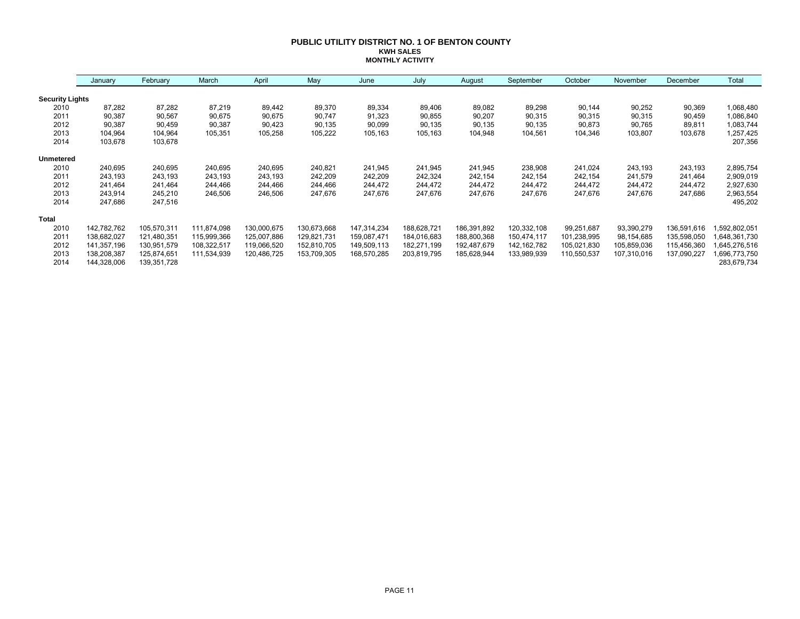#### **PUBLIC UTILITY DISTRICT NO. 1 OF BENTON COUNTY KWH SALES MONTHLY ACTIVITY**

|                        | January     | February    | March       | April       | May         | June        | July        | August      | September     | October     | November    | December    | Total        |
|------------------------|-------------|-------------|-------------|-------------|-------------|-------------|-------------|-------------|---------------|-------------|-------------|-------------|--------------|
| <b>Security Lights</b> |             |             |             |             |             |             |             |             |               |             |             |             |              |
| 2010                   | 87,282      | 87,282      | 87,219      | 89,442      | 89,370      | 89,334      | 89,406      | 89,082      | 89,298        | 90,144      | 90,252      | 90,369      | 1,068,480    |
| 2011                   | 90,387      | 90,567      | 90,675      | 90,675      | 90,747      | 91,323      | 90,855      | 90,207      | 90,315        | 90,315      | 90,315      | 90,459      | 1,086,840    |
| 2012                   | 90,387      | 90,459      | 90,387      | 90,423      | 90,135      | 90,099      | 90,135      | 90,135      | 90,135        | 90,873      | 90,765      | 89,811      | 1,083,744    |
| 2013                   | 104,964     | 104,964     | 105,351     | 105,258     | 105,222     | 105,163     | 105,163     | 104,948     | 104,561       | 104,346     | 103,807     | 103,678     | 1,257,425    |
| 2014                   | 103,678     | 103,678     |             |             |             |             |             |             |               |             |             |             | 207,356      |
| <b>Unmetered</b>       |             |             |             |             |             |             |             |             |               |             |             |             |              |
| 2010                   | 240,695     | 240,695     | 240,695     | 240,695     | 240,821     | 241,945     | 241,945     | 241,945     | 238,908       | 241,024     | 243,193     | 243,193     | 2,895,754    |
| 2011                   | 243,193     | 243,193     | 243,193     | 243,193     | 242,209     | 242,209     | 242,324     | 242,154     | 242,154       | 242,154     | 241,579     | 241,464     | 2,909,019    |
| 2012                   | 241,464     | 241,464     | 244,466     | 244,466     | 244,466     | 244,472     | 244,472     | 244,472     | 244,472       | 244,472     | 244,472     | 244,472     | 2,927,630    |
| 2013                   | 243,914     | 245,210     | 246,506     | 246,506     | 247,676     | 247,676     | 247,676     | 247,676     | 247,676       | 247,676     | 247,676     | 247,686     | 2,963,554    |
| 2014                   | 247,686     | 247,516     |             |             |             |             |             |             |               |             |             |             | 495,202      |
| <b>Total</b>           |             |             |             |             |             |             |             |             |               |             |             |             |              |
| 2010                   | 142,782,762 | 105,570,311 | 111,874,098 | 130,000,675 | 130,673,668 | 147,314,234 | 188,628,721 | 186,391,892 | 120,332,108   | 99,251,687  | 93,390,279  | 136,591,616 | ,592,802,051 |
| 2011                   | 138,682,027 | 121,480,351 | 115,999,366 | 125,007,886 | 129,821,731 | 159,087,471 | 184,016,683 | 188,800,368 | 150,474,117   | 101,238,995 | 98,154,685  | 135,598,050 | 648,361,730  |
| 2012                   | 141,357,196 | 130,951,579 | 108,322,517 | 119,066,520 | 152,810,705 | 149,509,113 | 182,271,199 | 192,487,679 | 142, 162, 782 | 105,021,830 | 105,859,036 | 115,456,360 | 645,276,516  |
| 2013                   | 138,208,387 | 125,874,651 | 111,534,939 | 120,486,725 | 153,709,305 | 168,570,285 | 203,819,795 | 185,628,944 | 133,989,939   | 110,550,537 | 107,310,016 | 137,090,227 | 696,773,750  |
| 2014                   | 144,328,006 | 139,351,728 |             |             |             |             |             |             |               |             |             |             | 283,679,734  |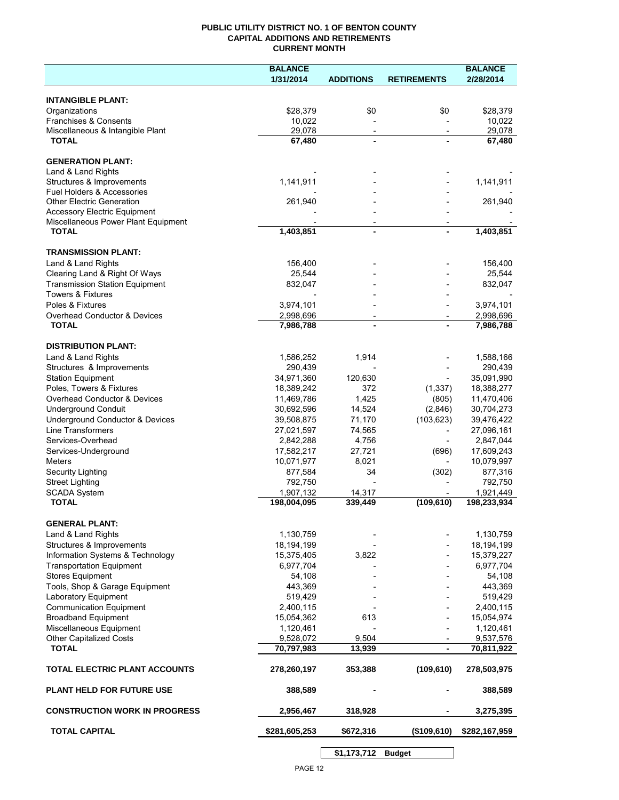## **PUBLIC UTILITY DISTRICT NO. 1 OF BENTON COUNTY CAPITAL ADDITIONS AND RETIREMENTS CURRENT MONTH**

|                                                | <b>BALANCE</b>          |                          |                          | <b>BALANCE</b>          |
|------------------------------------------------|-------------------------|--------------------------|--------------------------|-------------------------|
|                                                | 1/31/2014               | <b>ADDITIONS</b>         | <b>RETIREMENTS</b>       | 2/28/2014               |
| <b>INTANGIBLE PLANT:</b>                       |                         |                          |                          |                         |
| Organizations                                  | \$28,379                | \$0                      | \$0                      | \$28,379                |
| Franchises & Consents                          | 10,022                  |                          |                          | 10,022                  |
| Miscellaneous & Intangible Plant               | 29,078                  | $\overline{\phantom{a}}$ | $\overline{\phantom{a}}$ | 29,078                  |
| <b>TOTAL</b>                                   | 67,480                  | $\blacksquare$           |                          | 67,480                  |
| <b>GENERATION PLANT:</b>                       |                         |                          |                          |                         |
| Land & Land Rights                             |                         |                          |                          |                         |
| Structures & Improvements                      | 1,141,911               |                          |                          | 1,141,911               |
| Fuel Holders & Accessories                     |                         |                          |                          |                         |
| <b>Other Electric Generation</b>               | 261,940                 |                          |                          | 261,940                 |
| <b>Accessory Electric Equipment</b>            |                         |                          |                          |                         |
| Miscellaneous Power Plant Equipment            |                         |                          |                          |                         |
| <b>TOTAL</b>                                   | 1,403,851               | $\blacksquare$           |                          | 1,403,851               |
| <b>TRANSMISSION PLANT:</b>                     |                         |                          |                          |                         |
| Land & Land Rights                             | 156,400                 |                          |                          | 156,400                 |
| Clearing Land & Right Of Ways                  | 25,544                  |                          |                          | 25,544                  |
| <b>Transmission Station Equipment</b>          | 832,047                 |                          |                          | 832,047                 |
| <b>Towers &amp; Fixtures</b>                   |                         |                          |                          |                         |
| Poles & Fixtures                               | 3,974,101               |                          |                          | 3,974,101               |
| Overhead Conductor & Devices                   | 2,998,696               |                          |                          | 2,998,696               |
| <b>TOTAL</b>                                   | 7,986,788               |                          |                          | 7,986,788               |
| <b>DISTRIBUTION PLANT:</b>                     |                         |                          |                          |                         |
| Land & Land Rights                             | 1,586,252               | 1,914                    |                          | 1,588,166               |
| Structures & Improvements                      | 290,439                 |                          |                          | 290,439                 |
| <b>Station Equipment</b>                       | 34,971,360              | 120,630                  |                          | 35,091,990              |
| Poles, Towers & Fixtures                       | 18,389,242              | 372                      | (1, 337)                 | 18,388,277              |
| Overhead Conductor & Devices                   | 11,469,786              | 1,425                    | (805)                    | 11,470,406              |
| <b>Underground Conduit</b>                     | 30,692,596              | 14,524                   | (2,846)                  | 30,704,273              |
| Underground Conductor & Devices                | 39,508,875              | 71,170                   | (103, 623)               | 39,476,422              |
| Line Transformers                              | 27,021,597              | 74,565                   |                          | 27,096,161              |
| Services-Overhead                              | 2,842,288               | 4,756                    |                          | 2,847,044               |
| Services-Underground                           | 17,582,217              | 27,721                   | (696)                    | 17,609,243              |
| <b>Meters</b>                                  | 10,071,977              | 8,021                    | $\overline{\phantom{a}}$ | 10,079,997              |
| Security Lighting                              | 877,584                 | 34                       | (302)                    | 877,316                 |
| <b>Street Lighting</b>                         | 792,750                 |                          |                          | 792,750                 |
| SCADA System                                   | 1,907,132               | 14,317                   |                          | 1,921,449               |
| <b>TOTAL</b>                                   | 198,004,095             | 339,449                  | (109, 610)               | 198,233,934             |
| <b>GENERAL PLANT:</b>                          |                         |                          |                          |                         |
| Land & Land Rights                             | 1,130,759               |                          |                          | 1,130,759               |
| Structures & Improvements                      | 18,194,199              |                          |                          | 18,194,199              |
| Information Systems & Technology               | 15,375,405              | 3,822                    |                          | 15,379,227              |
| <b>Transportation Equipment</b>                | 6,977,704               |                          |                          | 6,977,704               |
| Stores Equipment                               | 54,108                  |                          |                          | 54,108                  |
| Tools, Shop & Garage Equipment                 | 443,369                 |                          |                          | 443,369                 |
| Laboratory Equipment                           | 519,429                 |                          |                          | 519,429                 |
| <b>Communication Equipment</b>                 | 2,400,115               |                          |                          | 2,400,115               |
| <b>Broadband Equipment</b>                     | 15,054,362              | 613                      |                          | 15,054,974              |
| Miscellaneous Equipment                        | 1,120,461               |                          |                          | 1,120,461               |
| <b>Other Capitalized Costs</b><br><b>TOTAL</b> | 9,528,072<br>70,797,983 | 9,504<br>13,939          | $\blacksquare$           | 9,537,576<br>70,811,922 |
|                                                |                         |                          |                          |                         |
| TOTAL ELECTRIC PLANT ACCOUNTS                  | 278,260,197             | 353,388                  | (109, 610)               | 278,503,975             |
| <b>PLANT HELD FOR FUTURE USE</b>               | 388,589                 |                          |                          | 388,589                 |
| <b>CONSTRUCTION WORK IN PROGRESS</b>           | 2,956,467               | 318,928                  |                          | 3,275,395               |
| <b>TOTAL CAPITAL</b>                           | \$281,605,253           | \$672,316                | (\$109,610)              | \$282,167,959           |
|                                                |                         |                          |                          |                         |

**\$1,173,712 Budget**

 $\mathsf{l}$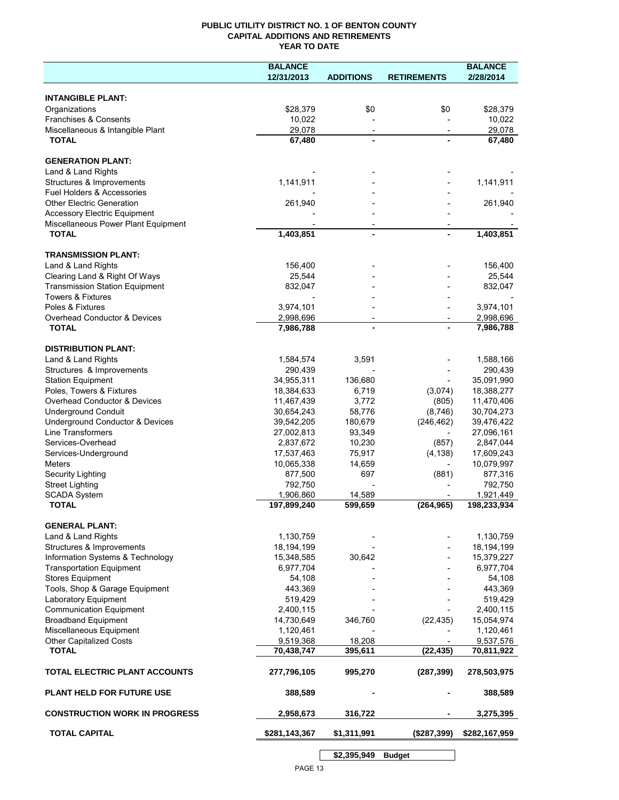## **PUBLIC UTILITY DISTRICT NO. 1 OF BENTON COUNTY CAPITAL ADDITIONS AND RETIREMENTS YEAR TO DATE**

|                                                            | <b>BALANCE</b> |                          |                          | <b>BALANCE</b> |
|------------------------------------------------------------|----------------|--------------------------|--------------------------|----------------|
|                                                            | 12/31/2013     | <b>ADDITIONS</b>         | <b>RETIREMENTS</b>       | 2/28/2014      |
|                                                            |                |                          |                          |                |
| <b>INTANGIBLE PLANT:</b>                                   |                |                          |                          |                |
| Organizations                                              | \$28,379       | \$0                      | \$0                      | \$28,379       |
| Franchises & Consents                                      | 10,022         |                          |                          | 10,022         |
| Miscellaneous & Intangible Plant                           | 29,078         | $\overline{\phantom{a}}$ |                          | 29,078         |
| <b>TOTAL</b>                                               | 67,480         |                          |                          | 67,480         |
| <b>GENERATION PLANT:</b>                                   |                |                          |                          |                |
| Land & Land Rights                                         |                |                          |                          |                |
| Structures & Improvements                                  | 1,141,911      |                          |                          | 1,141,911      |
| Fuel Holders & Accessories                                 |                |                          |                          |                |
| <b>Other Electric Generation</b>                           | 261,940        |                          |                          | 261,940        |
| <b>Accessory Electric Equipment</b>                        |                |                          |                          |                |
| Miscellaneous Power Plant Equipment                        |                |                          |                          |                |
| <b>TOTAL</b>                                               | 1,403,851      |                          | $\blacksquare$           | 1,403,851      |
|                                                            |                |                          |                          |                |
| <b>TRANSMISSION PLANT:</b>                                 |                |                          |                          |                |
| Land & Land Rights                                         | 156,400        |                          |                          | 156,400        |
| Clearing Land & Right Of Ways                              | 25,544         |                          |                          | 25,544         |
| <b>Transmission Station Equipment</b>                      | 832,047        |                          |                          | 832,047        |
| <b>Towers &amp; Fixtures</b>                               |                |                          |                          |                |
| Poles & Fixtures                                           | 3,974,101      |                          |                          | 3,974,101      |
| Overhead Conductor & Devices                               | 2,998,696      | $\overline{\phantom{a}}$ |                          | 2,998,696      |
| <b>TOTAL</b>                                               | 7,986,788      |                          |                          | 7,986,788      |
|                                                            |                |                          |                          |                |
| <b>DISTRIBUTION PLANT:</b>                                 |                |                          |                          |                |
| Land & Land Rights                                         | 1,584,574      | 3,591                    |                          | 1,588,166      |
| Structures & Improvements                                  | 290,439        |                          |                          | 290,439        |
| <b>Station Equipment</b>                                   | 34,955,311     | 136,680                  |                          | 35,091,990     |
| Poles, Towers & Fixtures                                   | 18,384,633     | 6,719                    | (3,074)                  | 18,388,277     |
| Overhead Conductor & Devices                               | 11,467,439     | 3,772                    | (805)                    | 11,470,406     |
| <b>Underground Conduit</b>                                 | 30,654,243     | 58,776                   | (8,746)                  | 30,704,273     |
| Underground Conductor & Devices                            | 39,542,205     | 180,679                  | (246, 462)               | 39,476,422     |
| Line Transformers                                          | 27,002,813     | 93,349                   |                          | 27,096,161     |
| Services-Overhead                                          | 2,837,672      | 10,230                   | (857)                    | 2,847,044      |
| Services-Underground                                       | 17,537,463     | 75,917                   | (4, 138)                 | 17,609,243     |
| <b>Meters</b>                                              | 10,065,338     | 14,659                   | $\overline{\phantom{0}}$ | 10,079,997     |
| <b>Security Lighting</b>                                   | 877,500        | 697                      | (881)                    | 877,316        |
| <b>Street Lighting</b>                                     | 792,750        |                          |                          | 792,750        |
| <b>SCADA System</b>                                        | 1,906,860      | 14,589                   |                          | 1,921,449      |
| <b>TOTAL</b>                                               | 197,899,240    | 599,659                  | (264, 965)               | 198,233,934    |
| <b>GENERAL PLANT:</b>                                      |                |                          |                          |                |
| Land & Land Rights                                         | 1,130,759      |                          |                          | 1,130,759      |
| Structures & Improvements                                  | 18,194,199     |                          |                          | 18,194,199     |
| Information Systems & Technology                           | 15,348,585     | 30,642                   |                          | 15,379,227     |
|                                                            | 6,977,704      |                          |                          | 6,977,704      |
| <b>Transportation Equipment</b><br><b>Stores Equipment</b> | 54,108         |                          |                          | 54,108         |
|                                                            | 443,369        |                          |                          | 443,369        |
| Tools, Shop & Garage Equipment                             |                |                          |                          |                |
| Laboratory Equipment                                       | 519,429        |                          |                          | 519,429        |
| <b>Communication Equipment</b>                             | 2,400,115      |                          |                          | 2,400,115      |
| <b>Broadband Equipment</b>                                 | 14,730,649     | 346,760                  | (22, 435)                | 15,054,974     |
| Miscellaneous Equipment                                    | 1,120,461      |                          |                          | 1,120,461      |
| <b>Other Capitalized Costs</b>                             | 9,519,368      | 18,208                   |                          | 9,537,576      |
| <b>TOTAL</b>                                               | 70,438,747     | 395,611                  | (22, 435)                | 70,811,922     |
| TOTAL ELECTRIC PLANT ACCOUNTS                              | 277,796,105    | 995,270                  | (287, 399)               | 278,503,975    |
| <b>PLANT HELD FOR FUTURE USE</b>                           | 388,589        |                          |                          | 388,589        |
| <b>CONSTRUCTION WORK IN PROGRESS</b>                       | 2,958,673      | 316,722                  |                          | 3,275,395      |
| <b>TOTAL CAPITAL</b>                                       | \$281,143,367  | \$1,311,991              | (\$287,399)              | \$282,167,959  |
|                                                            |                |                          |                          |                |

**\$2,395,949 Budget**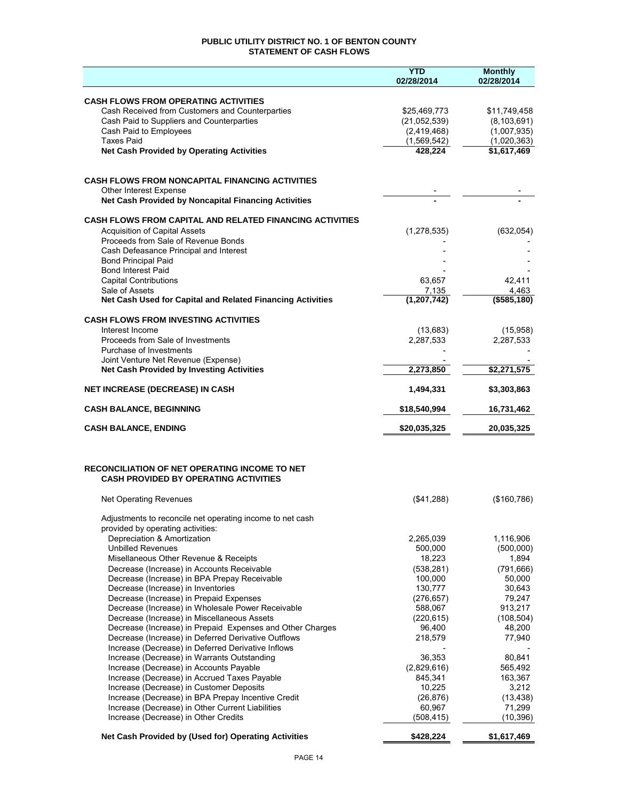## **PUBLIC UTILITY DISTRICT NO. 1 OF BENTON COUNTY STATEMENT OF CASH FLOWS**

|                                                                                                      | <b>YTD</b><br>02/28/2014 | <b>Monthly</b><br>02/28/2014 |
|------------------------------------------------------------------------------------------------------|--------------------------|------------------------------|
|                                                                                                      |                          |                              |
| <b>CASH FLOWS FROM OPERATING ACTIVITIES</b><br>Cash Received from Customers and Counterparties       | \$25,469,773             | \$11,749,458                 |
| Cash Paid to Suppliers and Counterparties                                                            | (21,052,539)             | (8, 103, 691)                |
| Cash Paid to Employees                                                                               | (2,419,468)              | (1,007,935)                  |
| <b>Taxes Paid</b>                                                                                    | (1,569,542)              | (1,020,363)                  |
| <b>Net Cash Provided by Operating Activities</b>                                                     | 428,224                  | \$1,617,469                  |
|                                                                                                      |                          |                              |
| <b>CASH FLOWS FROM NONCAPITAL FINANCING ACTIVITIES</b>                                               |                          |                              |
| Other Interest Expense<br>Net Cash Provided by Noncapital Financing Activities                       |                          |                              |
| <b>CASH FLOWS FROM CAPITAL AND RELATED FINANCING ACTIVITIES</b>                                      |                          |                              |
| <b>Acquisition of Capital Assets</b>                                                                 | (1, 278, 535)            | (632, 054)                   |
| Proceeds from Sale of Revenue Bonds                                                                  |                          |                              |
| Cash Defeasance Principal and Interest                                                               |                          |                              |
| <b>Bond Principal Paid</b>                                                                           |                          |                              |
| <b>Bond Interest Paid</b><br><b>Capital Contributions</b>                                            | 63,657                   | 42,411                       |
| Sale of Assets                                                                                       | 7,135                    | 4,463                        |
| Net Cash Used for Capital and Related Financing Activities                                           | (1, 207, 742)            | ( \$585, 180)                |
| <b>CASH FLOWS FROM INVESTING ACTIVITIES</b>                                                          |                          |                              |
| Interest Income                                                                                      | (13,683)                 | (15,958)                     |
| Proceeds from Sale of Investments                                                                    | 2,287,533                | 2,287,533                    |
| Purchase of Investments                                                                              |                          |                              |
| Joint Venture Net Revenue (Expense)<br><b>Net Cash Provided by Investing Activities</b>              | 2,273,850                | \$2,271,575                  |
| <b>NET INCREASE (DECREASE) IN CASH</b>                                                               | 1,494,331                | \$3,303,863                  |
| <b>CASH BALANCE, BEGINNING</b>                                                                       | \$18,540,994             | 16,731,462                   |
|                                                                                                      |                          |                              |
| <b>CASH BALANCE, ENDING</b>                                                                          | \$20,035,325             | 20,035,325                   |
| <b>RECONCILIATION OF NET OPERATING INCOME TO NET</b><br><b>CASH PROVIDED BY OPERATING ACTIVITIES</b> |                          |                              |
| <b>Net Operating Revenues</b>                                                                        | (\$41,288)               | (\$160,786)                  |
| Adjustments to reconcile net operating income to net cash                                            |                          |                              |
| provided by operating activities:<br>Depreciation & Amortization                                     | 2,265,039                | 1,116,906                    |
| <b>Unbilled Revenues</b>                                                                             | 500,000                  | (500,000)                    |
| Misellaneous Other Revenue & Receipts                                                                | 18,223                   | 1,894                        |
| Decrease (Increase) in Accounts Receivable                                                           | (538, 281)               | (791, 666)                   |
| Decrease (Increase) in BPA Prepay Receivable                                                         | 100,000                  | 50,000                       |
| Decrease (Increase) in Inventories                                                                   | 130,777<br>(276, 657)    | 30,643<br>79,247             |
| Decrease (Increase) in Prepaid Expenses<br>Decrease (Increase) in Wholesale Power Receivable         | 588,067                  | 913,217                      |
| Decrease (Increase) in Miscellaneous Assets                                                          | (220, 615)               | (108, 504)                   |
| Decrease (Increase) in Prepaid Expenses and Other Charges                                            | 96,400                   | 48,200                       |
| Decrease (Increase) in Deferred Derivative Outflows                                                  | 218,579                  | 77,940                       |
| Increase (Decrease) in Deferred Derivative Inflows                                                   |                          |                              |
| Increase (Decrease) in Warrants Outstanding                                                          | 36,353                   | 80,841                       |
| Increase (Decrease) in Accounts Payable                                                              | (2,829,616)              | 565,492                      |
| Increase (Decrease) in Accrued Taxes Payable<br>Increase (Decrease) in Customer Deposits             | 845,341<br>10,225        | 163,367<br>3,212             |
| Increase (Decrease) in BPA Prepay Incentive Credit                                                   | (26, 876)                | (13, 438)                    |
| Increase (Decrease) in Other Current Liabilities                                                     | 60,967                   | 71,299                       |
| Increase (Decrease) in Other Credits                                                                 | (508, 415)               | (10, 396)                    |
| Net Cash Provided by (Used for) Operating Activities                                                 | \$428,224                | \$1,617,469                  |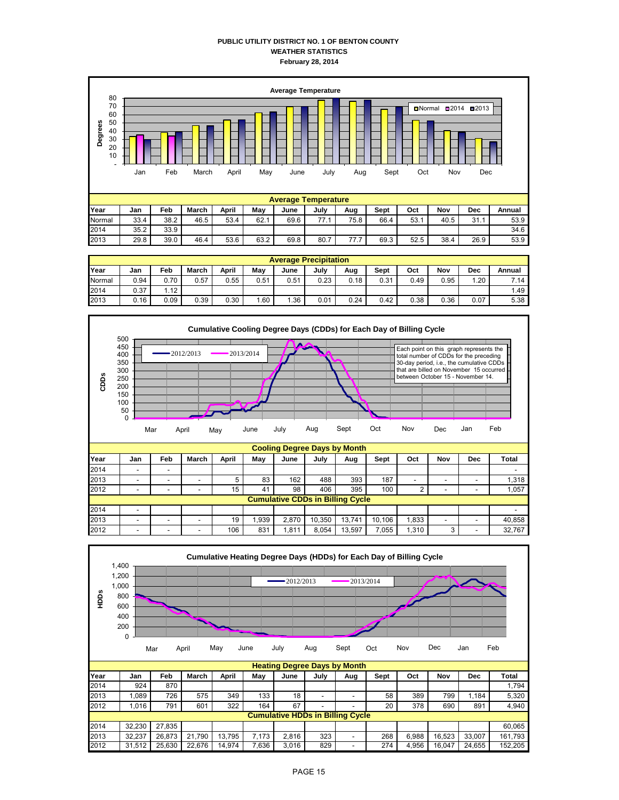## **PUBLIC UTILITY DISTRICT NO. 1 OF BENTON COUNTY WEATHER STATISTICS February 28, 2014**



|        | <b>Average Precipitation</b> |                   |       |       |      |      |      |      |      |      |      |      |        |
|--------|------------------------------|-------------------|-------|-------|------|------|------|------|------|------|------|------|--------|
| Year   | Jan                          | Feb               | March | April | May  | June | July | Aug  | Sept | Oct  | Nov  | Dec  | Annual |
| Normal | 0.94                         | 0.70              | 0.57  | 0.55  | 0.51 | 0.51 | 0.23 | 0.18 | 0.31 | 0.49 | 0.95 | 1.20 | 7.14   |
| 2014   | 0.37                         | 1.12 <sub>1</sub> |       |       |      |      |      |      |      |      |      |      | 1.49   |
| 2013   | 0.16                         | 0.09              | 0.39  | 0.30  | .60  | .36  | 0.01 | 0.24 | 0.42 | 0.38 | 0.36 | 0.07 | 5.38   |

2013 | 29.8 | 39.0 | 46.4 | 53.6 | 63.2 | 69.8 | 80.7 | 77.7 | 69.3 | 52.5 | 38.4 | 26.9 | 53.9



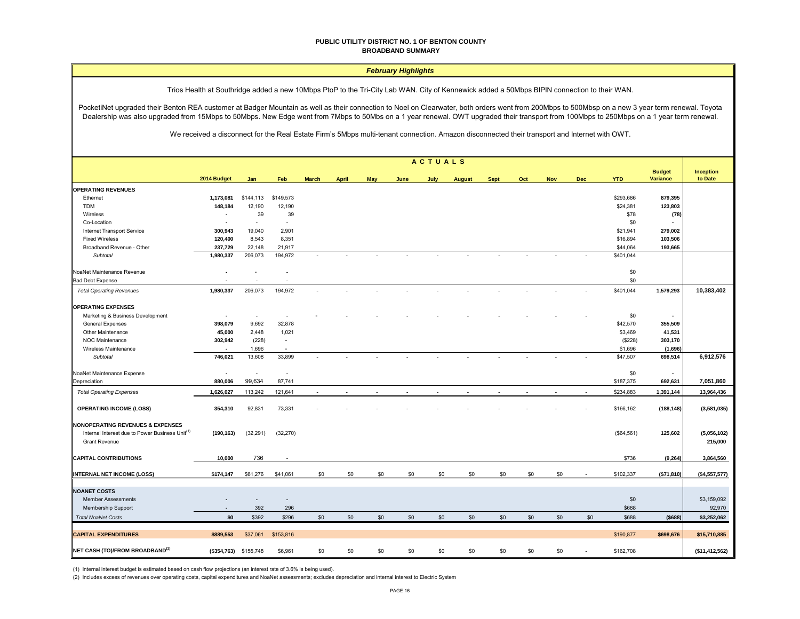#### **PUBLIC UTILITY DISTRICT NO. 1 OF BENTON COUNTY BROADBAND SUMMARY**

#### *February Highlights*

Trios Health at Southridge added a new 10Mbps PtoP to the Tri-City Lab WAN. City of Kennewick added a 50Mbps BIPIN connection to their WAN.

PocketiNet upgraded their Benton REA customer at Badger Mountain as well as their connection to Noel on Clearwater, both orders went from 200Mbps to 500Mbsp on a new 3 year term renewal. Toyota Dealership was also upgraded from 15Mbps to 50Mbps. New Edge went from 7Mbps to 50Mbs on a 1 year renewal. OWT upgraded their transport from 100Mbps to 250Mbps on a 1 year term renewal.

We received a disconnect for the Real Estate Firm's 5Mbps multi-tenant connection. Amazon disconnected their transport and Internet with OWT.

|                                                             |                          |                          |           |              |              |            |      | <b>ACTUALS</b> |               |             |     |            |     |            |                           |                             |
|-------------------------------------------------------------|--------------------------|--------------------------|-----------|--------------|--------------|------------|------|----------------|---------------|-------------|-----|------------|-----|------------|---------------------------|-----------------------------|
|                                                             | 2014 Budget              | Jan                      | Feb       | <b>March</b> | <b>April</b> | <b>May</b> | June | July           | <b>August</b> | <b>Sept</b> | Oct | <b>Nov</b> | Dec | <b>YTD</b> | <b>Budget</b><br>Variance | <b>Inception</b><br>to Date |
| <b>OPERATING REVENUES</b>                                   |                          |                          |           |              |              |            |      |                |               |             |     |            |     |            |                           |                             |
| Ethernet                                                    | 1,173,081                | \$144,113                | \$149,573 |              |              |            |      |                |               |             |     |            |     | \$293,686  | 879,395                   |                             |
| TDM                                                         | 148,184                  | 12,190                   | 12,190    |              |              |            |      |                |               |             |     |            |     | \$24,381   | 123,803                   |                             |
| Wireless                                                    | $\overline{\phantom{a}}$ | 39                       | 39        |              |              |            |      |                |               |             |     |            |     | \$78       | (78)                      |                             |
| Co-Location                                                 | $\sim$                   | $\sim$                   | $\sim$    |              |              |            |      |                |               |             |     |            |     | \$0        |                           |                             |
| Internet Transport Service                                  | 300,943                  | 19,040                   | 2,901     |              |              |            |      |                |               |             |     |            |     | \$21,941   | 279,002                   |                             |
| <b>Fixed Wireless</b>                                       | 120,400                  | 8,543                    | 8,351     |              |              |            |      |                |               |             |     |            |     | \$16,894   | 103,506                   |                             |
| Broadband Revenue - Other                                   | 237,729                  | 22,148                   | 21,917    |              |              |            |      |                |               |             |     |            |     | \$44,064   | 193,665                   |                             |
| Subtotal                                                    | 1,980,337                | 206,073                  | 194,972   |              |              |            |      |                |               |             |     |            |     | \$401,044  |                           |                             |
| NoaNet Maintenance Revenue                                  |                          |                          |           |              |              |            |      |                |               |             |     |            |     |            |                           |                             |
|                                                             |                          |                          |           |              |              |            |      |                |               |             |     |            |     | \$0        |                           |                             |
| <b>Bad Debt Expense</b>                                     |                          |                          |           |              |              |            |      |                |               |             |     |            |     | \$0        |                           |                             |
| <b>Total Operating Revenues</b>                             | 1,980,337                | 206,073                  | 194,972   |              |              |            |      |                |               |             |     |            |     | \$401,044  | 1,579,293                 | 10,383,402                  |
| <b>OPERATING EXPENSES</b>                                   |                          |                          |           |              |              |            |      |                |               |             |     |            |     |            |                           |                             |
| Marketing & Business Development                            | $\blacksquare$           | $\overline{\phantom{a}}$ | $\sim$    |              |              |            |      |                |               |             |     |            |     | \$0        |                           |                             |
| General Expenses                                            | 398,079                  | 9,692                    | 32,878    |              |              |            |      |                |               |             |     |            |     | \$42,570   | 355,509                   |                             |
| Other Maintenance                                           | 45,000                   | 2,448                    | 1,021     |              |              |            |      |                |               |             |     |            |     | \$3,469    | 41,531                    |                             |
| NOC Maintenance                                             | 302,942                  | (228)                    | $\sim$    |              |              |            |      |                |               |             |     |            |     | (\$228)    | 303,170                   |                             |
| Wireless Maintenance                                        | ٠                        | 1,696                    | $\sim$    |              |              |            |      |                |               |             |     |            |     | \$1,696    | (1,696)                   |                             |
| Subtotal                                                    | 746,021                  | 13,608                   | 33,899    |              |              |            |      |                |               |             |     |            |     | \$47,507   | 698,514                   | 6,912,576                   |
| NoaNet Maintenance Expense                                  | $\overline{\phantom{a}}$ | ÷                        |           |              |              |            |      |                |               |             |     |            |     | \$0        |                           |                             |
| Depreciation                                                | 880,006                  | 99,634                   | 87,741    |              |              |            |      |                |               |             |     |            |     | \$187,375  | 692,631                   | 7,051,860                   |
| <b>Total Operating Expenses</b>                             | 1,626,027                | 113,242                  | 121,641   |              |              |            |      |                |               |             |     |            |     | \$234,883  | 1,391,144                 | 13,964,436                  |
|                                                             |                          |                          |           |              |              |            |      |                |               |             |     |            |     |            |                           |                             |
| <b>OPERATING INCOME (LOSS)</b>                              | 354,310                  | 92,831                   | 73,331    |              |              |            |      |                |               |             |     |            |     | \$166,162  | (188, 148)                | (3,581,035)                 |
| <b>NONOPERATING REVENUES &amp; EXPENSES</b>                 |                          |                          |           |              |              |            |      |                |               |             |     |            |     |            |                           |                             |
| Internal Interest due to Power Business Unit <sup>(1)</sup> | (190, 163)               | (32, 291)                | (32, 270) |              |              |            |      |                |               |             |     |            |     | (\$64,561) | 125,602                   | (5,056,102)                 |
| <b>Grant Revenue</b>                                        |                          |                          |           |              |              |            |      |                |               |             |     |            |     |            |                           | 215,000                     |
|                                                             |                          |                          |           |              |              |            |      |                |               |             |     |            |     |            |                           |                             |
| <b>CAPITAL CONTRIBUTIONS</b>                                | 10,000                   | 736                      | $\sim$    |              |              |            |      |                |               |             |     |            |     | \$736      | (9, 264)                  | 3,864,560                   |
| <b>INTERNAL NET INCOME (LOSS)</b>                           | \$174,147                | \$61,276                 | \$41,061  | \$0          | \$0          | \$0        | \$0  | \$0            | \$0           | \$0         | \$0 | \$0        |     | \$102,337  | (\$71, 810)               | (\$4,557,577)               |
|                                                             |                          |                          |           |              |              |            |      |                |               |             |     |            |     |            |                           |                             |
| <b>NOANET COSTS</b>                                         |                          |                          |           |              |              |            |      |                |               |             |     |            |     |            |                           |                             |
| <b>Member Assessments</b>                                   |                          |                          | $\sim$    |              |              |            |      |                |               |             |     |            |     | \$0        |                           | \$3,159,092                 |
| Membership Support                                          |                          | 392                      | 296       |              |              |            |      |                |               |             |     |            |     | \$688      |                           | 92,970                      |
| <b>Total NoaNet Costs</b>                                   | \$0                      | \$392                    | \$296     | \$0          | \$0          | \$0        | \$0  | \$0            | \$0           | \$0         | \$0 | \$0        | \$0 | \$688      | ( \$688)                  | \$3,252,062                 |
|                                                             |                          |                          |           |              |              |            |      |                |               |             |     |            |     |            |                           |                             |
| <b>CAPITAL EXPENDITURES</b>                                 | \$889,553                | \$37,061                 | \$153,816 |              |              |            |      |                |               |             |     |            |     | \$190,877  | \$698,676                 | \$15,710,885                |
| NET CASH (TO)/FROM BROADBAND <sup>(2)</sup>                 | (\$354,763)              | \$155,748                | \$6,961   | \$0          | \$0          | \$0        | \$0  | \$0            | \$0           | \$0         | \$0 | \$0        |     | \$162,708  |                           | (\$11, 412, 562)            |

(1) Internal interest budget is estimated based on cash flow projections (an interest rate of 3.6% is being used).

(2) Includes excess of revenues over operating costs, capital expenditures and NoaNet assessments; excludes depreciation and internal interest to Electric System